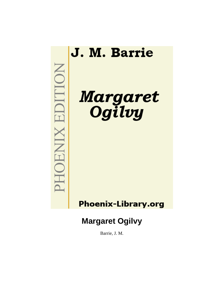

Barrie, J. M.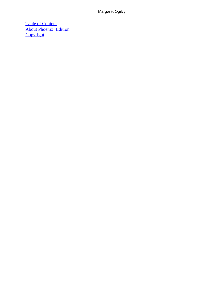[Table of Content](#page-68-0) [About Phoenix−Edition](#page-69-0) **[Copyright](#page-70-0)**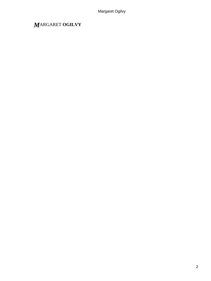### *M*ARGARET **OGILVY**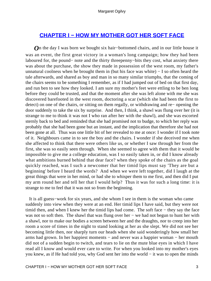### <span id="page-3-0"></span>**[CHAPTER I − HOW MY MOTHER GOT HER SOFT FACE](#page-68-0)**

*O*n the day I was born we bought six hair–bottomed chairs, and in our little house it was an event, the first great victory in a woman's long campaign; how they had been laboured for, the pound− note and the thirty threepenny−bits they cost, what anxiety there was about the purchase, the show they made in possession of the west room, my father's unnatural coolness when he brought them in (but his face was white)  $-I$  so often heard the tale afterwards, and shared as boy and man in so many similar triumphs, that the coming of the chairs seems to be something I remember, as if I had jumped out of bed on that first day, and run ben to see how they looked. I am sure my mother's feet were ettling to be ben long before they could be trusted, and that the moment after she was left alone with me she was discovered barefooted in the west room, doctoring a scar (which she had been the first to detect) on one of the chairs, or sitting on them regally, or withdrawing and re− opening the door suddenly to take the six by surprise. And then, I think, a shawl was flung over her (it is strange to me to think it was not I who ran after her with the shawl), and she was escorted sternly back to bed and reminded that she had promised not to budge, to which her reply was probably that she had been gone but an instant, and the implication that therefore she had not been gone at all. Thus was one little bit of her revealed to me at once: I wonder if I took note of it. Neighbours came in to see the boy and the chairs. I wonder if she deceived me when she affected to think that there were others like us, or whether I saw through her from the first, she was so easily seen through. When she seemed to agree with them that it would be impossible to give me a college education, was I so easily taken in, or did I know already what ambitions burned behind that dear face? when they spoke of the chairs as the goal quickly reached, was I such a newcomer that her timid lips must say 'They are but a beginning' before I heard the words? And when we were left together, did I laugh at the great things that were in her mind, or had she to whisper them to me first, and then did I put my arm round her and tell her that I would help? Thus it was for such a long time: it is strange to me to feel that it was not so from the beginning.

 It is all guess−work for six years, and she whom I see in them is the woman who came suddenly into view when they were at an end. Her timid lips I have said, but they were not timid then, and when I knew her the timid lips had come. The soft face − they say the face was not so soft then. The shawl that was flung over her – we had not begun to hunt her with a shawl, nor to make our bodies a screen between her and the draughts, nor to creep into her room a score of times in the night to stand looking at her as she slept. We did not see her becoming little then, nor sharply turn our heads when she said wonderingly how small her arms had grown. In her happiest moments − and never was a happier woman − her mouth did not of a sudden begin to twitch, and tears to lie on the mute blue eyes in which I have read all I know and would ever care to write. For when you looked into my mother's eyes you knew, as if He had told you, why God sent her into the world − it was to open the minds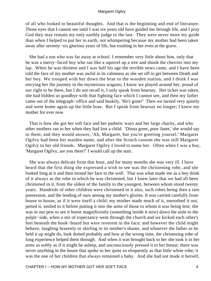of all who looked to beautiful thoughts. And that is the beginning and end of literature. Those eyes that I cannot see until I was six years old have guided me through life, and I pray God they may remain my only earthly judge to the last. They were never more my guide than when I helped to put her to earth, not whimpering because my mother had been taken away after seventy−six glorious years of life, but exulting in her even at the grave.

 She had a son who was far away at school. I remember very little about him, only that he was a merry−faced boy who ran like a squirrel up a tree and shook the cherries into my lap. When he was thirteen and I was half his age the terrible news came, and I have been told the face of my mother was awful in its calmness as she set off to get between Death and her boy. We trooped with her down the brae to the wooden station, and I think I was envying her the journey in the mysterious wagons; I know we played around her, proud of our right to be there, but I do not recall it, I only speak from hearsay. Her ticket was taken, she had bidden us goodbye with that fighting face which I cannot see, and then my father came out of the telegraph−office and said huskily, 'He's gone!' Then we turned very quietly and went home again up the little brae. But I speak from hearsay no longer; I knew my mother for ever now.

 That is how she got her soft face and her pathetic ways and her large charity, and why other mothers ran to her when they had lost a child. 'Dinna greet, poor Janet,' she would say to them; and they would answer, 'Ah, Margaret, but you're greeting yoursel.' Margaret Ogilvy had been her maiden name, and after the Scotch custom she was still Margaret Ogilvy to her old friends. Margaret Ogilvy I loved to name her. Often when I was a boy, 'Margaret Ogilvy, are you there?' I would call up the stair.

 She was always delicate from that hour, and for many months she was very ill. I have heard that the first thing she expressed a wish to see was the christening robe, and she looked long at it and then turned her face to the wall. That was what made me as a boy think of it always as the robe in which he was christened, but I knew later that we had all been christened in it, from the oldest of the family to the youngest, between whom stood twenty years. Hundreds of other children were christened in it also, such robes being then a rare possession, and the lending of ours among my mother's glories. It was carried carefully from house to house, as if it were itself a child; my mother made much of it, smoothed it out, petted it, smiled to it before putting it into the arms of those to whom it was being lent; she was in our pew to see it borne magnificently (something inside it now) down the aisle to the pulpit−side, when a stir of expectancy went through the church and we kicked each other's feet beneath the book−board but were reverent in the face; and however the child might behave, laughing brazenly or skirling to its mother's shame, and whatever the father as he held it up might do, look doited probably and bow at the wrong time, the christening robe of long experience helped them through. And when it was brought back to her she took it in her arms as softly as if it might be asleep, and unconsciously pressed it to her breast: there was never anything in the house that spoke to her quite so eloquently as that little white robe; it was the one of her children that always remained a baby. And she had not made it herself,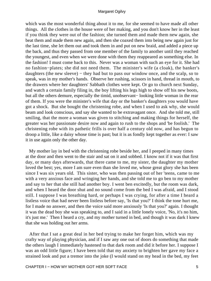which was the most wonderful thing about it to me, for she seemed to have made all other things. All the clothes in the house were of her making, and you don't know her in the least if you think they were out of the fashion; she turned them and made them new again, she beat them and made them new again, and then she coaxed them into being new again just for the last time, she let them out and took them in and put on new braid, and added a piece up the back, and thus they passed from one member of the family to another until they reached the youngest, and even when we were done with them they reappeared as something else. In the fashion! I must come back to this. Never was a woman with such an eye for it. She had no fashion−plates; she did not need them. The minister's wife (a cloak), the banker's daughters (the new sleeve) – they had but to pass our window once, and the scalp, so to speak, was in my mother's hands. Observe her rushing, scissors in hand, thread in mouth, to the drawers where her daughters' Sabbath clothes were kept. Or go to church next Sunday, and watch a certain family filing in, the boy lifting his legs high to show off his new boots, but all the others demure, especially the timid, unobservant− looking little woman in the rear of them. If you were the minister's wife that day or the banker's daughters you would have got a shock. But she bought the christening robe, and when I used to ask why, she would beam and look conscious, and say she wanted to be extravagant once. And she told me, still smiling, that the more a woman was given to stitching and making things for herself, the greater was her passionate desire now and again to rush to the shops and 'be foolish.' The christening robe with its pathetic frills is over half a century old now, and has begun to droop a little, like a daisy whose time is past; but it is as fondly kept together as ever: I saw it in use again only the other day.

 My mother lay in bed with the christening robe beside her, and I peeped in many times at the door and then went to the stair and sat on it and sobbed. I know not if it was that first day, or many days afterwards, that there came to me, my sister, the daughter my mother loved the best; yes, more I am sure even than she loved me, whose great glory she has been since I was six years old. This sister, who was then passing out of her 'teens, came to me with a very anxious face and wringing her hands, and she told me to go ben to my mother and say to her that she still had another boy. I went ben excitedly, but the room was dark, and when I heard the door shut and no sound come from the bed I was afraid, and I stood still. I suppose I was breathing hard, or perhaps I was crying, for after a time I heard a listless voice that had never been listless before say, 'Is that you?' I think the tone hurt me, for I made no answer, and then the voice said more anxiously 'Is that you?' again. I thought it was the dead boy she was speaking to, and I said in a little lonely voice, 'No, it's no him, it's just me.' Then I heard a cry, and my mother turned in bed, and though it was dark I knew that she was holding out her arms.

 After that I sat a great deal in her bed trying to make her forget him, which was my crafty way of playing physician, and if I saw any one out of doors do something that made the others laugh I immediately hastened to that dark room and did it before her. I suppose I was an odd little figure; I have been told that my anxiety to brighten her gave my face a strained look and put a tremor into the joke (I would stand on my head in the bed, my feet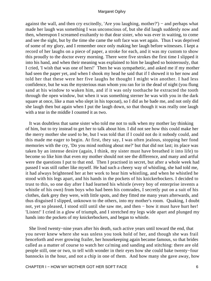against the wall, and then cry excitedly, 'Are you laughing, mother?') − and perhaps what made her laugh was something I was unconscious of, but she did laugh suddenly now and then, whereupon I screamed exultantly to that dear sister, who was ever in waiting, to come and see the sight, but by the time she came the soft face was wet again. Thus I was deprived of some of my glory, and I remember once only making her laugh before witnesses. I kept a record of her laughs on a piece of paper, a stroke for each, and it was my custom to show this proudly to the doctor every morning. There were five strokes the first time I slipped it into his hand, and when their meaning was explained to him he laughed so boisterously, that I cried, 'I wish that was one of hers!' Then he was sympathetic, and asked me if my mother had seen the paper yet, and when I shook my head he said that if I showed it to her now and told her that these were her five laughs he thought I might win another. I had less confidence, but he was the mysterious man whom you ran for in the dead of night (you flung sand at his window to waken him, and if it was only toothache he extracted the tooth through the open window, but when it was something sterner he was with you in the dark square at once, like a man who slept in his topcoat), so I did as he bade me, and not only did she laugh then but again when I put the laugh down, so that though it was really one laugh with a tear in the middle I counted it as two.

 It was doubtless that same sister who told me not to sulk when my mother lay thinking of him, but to try instead to get her to talk about him. I did not see how this could make her the merry mother she used to be, but I was told that if I could not do it nobody could, and this made me eager to begin. At first, they say, I was often jealous, stopping her fond memories with the cry, 'Do you mind nothing about me?' but that did not last; its place was taken by an intense desire (again, I think, my sister must have breathed it into life) to become so like him that even my mother should not see the difference, and many and artful were the questions I put to that end. Then I practised in secret, but after a whole week had passed I was still rather like myself. He had such a cheery way of whistling, she had told me, it had always brightened her at her work to hear him whistling, and when he whistled he stood with his legs apart, and his hands in the pockets of his knickerbockers. I decided to trust to this, so one day after I had learned his whistle (every boy of enterprise invents a whistle of his own) from boys who had been his comrades, I secretly put on a suit of his clothes, dark grey they were, with little spots, and they fitted me many years afterwards, and thus disguised I slipped, unknown to the others, into my mother's room. Quaking, I doubt not, yet so pleased, I stood still until she saw me, and then − how it must have hurt her! 'Listen!' I cried in a glow of triumph, and I stretched my legs wide apart and plunged my hands into the pockets of my knickerbockers, and began to whistle.

 She lived twenty−nine years after his death, such active years until toward the end, that you never knew where she was unless you took hold of her, and though she was frail henceforth and ever growing frailer, her housekeeping again became famous, so that brides called as a matter of course to watch her ca'ming and sanding and stitching: there are old people still, one or two, to tell with wonder in their eyes how she could bake twenty−four bannocks in the hour, and not a chip in one of them. And how many she gave away, how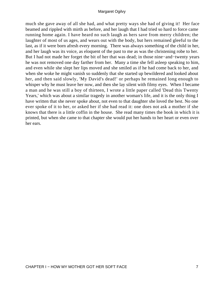much she gave away of all she had, and what pretty ways she had of giving it! Her face beamed and rippled with mirth as before, and her laugh that I had tried so hard to force came running home again. I have heard no such laugh as hers save from merry children; the laughter of most of us ages, and wears out with the body, but hers remained gleeful to the last, as if it were born afresh every morning. There was always something of the child in her, and her laugh was its voice, as eloquent of the past to me as was the christening robe to her. But I had not made her forget the bit of her that was dead; in those nine−and−twenty years he was not removed one day farther from her. Many a time she fell asleep speaking to him, and even while she slept her lips moved and she smiled as if he had come back to her, and when she woke he might vanish so suddenly that she started up bewildered and looked about her, and then said slowly, 'My David's dead!' or perhaps he remained long enough to whisper why he must leave her now, and then she lay silent with filmy eyes. When I became a man and he was still a boy of thirteen, I wrote a little paper called 'Dead this Twenty Years,' which was about a similar tragedy in another woman's life, and it is the only thing I have written that she never spoke about, not even to that daughter she loved the best. No one ever spoke of it to her, or asked her if she had read it: one does not ask a mother if she knows that there is a little coffin in the house. She read many times the book in which it is printed, but when she came to that chapter she would put her hands to her heart or even over her ears.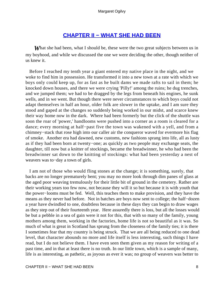### **[CHAPTER II − WHAT SHE HAD BEEN](#page-68-0)**

<span id="page-8-0"></span>**What she had been, what I should be, these were the two great subjects between us in** my boyhood, and while we discussed the one we were deciding the other, though neither of us knew it.

 Before I reached my tenth year a giant entered my native place in the night, and we woke to find him in possession. He transformed it into a new town at a rate with which we boys only could keep up, for as fast as he built dams we made rafts to sail in them; he knocked down houses, and there we were crying 'Pilly!' among the ruins; he dug trenches, and we jumped them; we had to be dragged by the legs from beneath his engines, he sunk wells, and in we went. But though there were never circumstances to which boys could not adapt themselves in half an hour, older folk are slower in the uptake, and I am sure they stood and gaped at the changes so suddenly being worked in our midst, and scarce knew their way home now in the dark. Where had been formerly but the click of the shuttle was soon the roar of 'power,' handlooms were pushed into a corner as a room is cleared for a dance; every morning at half−past five the town was wakened with a yell, and from a chimney−stack that rose high into our caller air the conqueror waved for evermore his flag of smoke. Another era had dawned, new customs, new fashions sprang into life, all as lusty as if they had been born at twenty−one; as quickly as two people may exchange seats, the daughter, till now but a knitter of stockings, became the breadwinner, he who had been the breadwinner sat down to the knitting of stockings: what had been yesterday a nest of weavers was to−day a town of girls.

 I am not of those who would fling stones at the change; it is something, surely, that backs are no longer prematurely bent; you may no more look through dim panes of glass at the aged poor weaving tremulously for their little bit of ground in the cemetery. Rather are their working years too few now, not because they will it so but because it is with youth that the power−looms must be fed. Well, this teaches them to make provision, and they have the means as they never had before. Not in batches are boys now sent to college; the half−dozen a year have dwindled to one, doubtless because in these days they can begin to draw wages as they step out of their fourteenth year. Here assuredly there is loss, but all the losses would be but a pebble in a sea of gain were it not for this, that with so many of the family, young mothers among them, working in the factories, home life is not so beautiful as it was. So much of what is great in Scotland has sprung from the closeness of the family ties; it is there I sometimes fear that my country is being struck. That we are all being reduced to one dead level, that character abounds no more and life itself is less interesting, such things I have read, but I do not believe them. I have even seen them given as my reason for writing of a past time, and in that at least there is no truth. In our little town, which is a sample of many, life is as interesting, as pathetic, as joyous as ever it was; no group of weavers was better to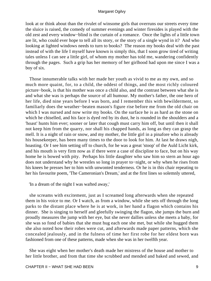look at or think about than the rivulet of winsome girls that overruns our streets every time the sluice is raised, the comedy of summer evenings and winter firesides is played with the old zest and every window−blind is the curtain of a romance. Once the lights of a little town are lit, who could ever hope to tell all its story, or the story of a single wynd in it? And who looking at lighted windows needs to turn to books? The reason my books deal with the past instead of with the life I myself have known is simply this, that I soon grow tired of writing tales unless I can see a little girl, of whom my mother has told me, wandering confidently through the pages. Such a grip has her memory of her girlhood had upon me since I was a boy of six.

 Those innumerable talks with her made her youth as vivid to me as my own, and so much more quaint, for, to a child, the oddest of things, and the most richly coloured picture−book, is that his mother was once a child also, and the contrast between what she is and what she was is perhaps the source of all humour. My mother's father, the one hero of her life, died nine years before I was born, and I remember this with bewilderment, so familiarly does the weather−beaten mason's figure rise before me from the old chair on which I was nursed and now write my books. On the surface he is as hard as the stone on which he chiselled, and his face is dyed red by its dust, he is rounded in the shoulders and a 'hoast' hunts him ever; sooner or later that cough must carry him off, but until then it shall not keep him from the quarry, nor shall his chapped hands, as long as they can grasp the mell. It is a night of rain or snow, and my mother, the little girl in a pinafore who is already his housekeeper, has been many times to the door to look for him. At last he draws nigh, hoasting. Or I see him setting off to church, for he was a great 'stoop' of the Auld Licht kirk, and his mouth is very firm now as if there were a case of discipline to face, but on his way home he is bowed with pity. Perhaps his little daughter who saw him so stern an hour ago does not understand why he wrestles so long in prayer to−night, or why when he rises from his knees he presses her to him with unwonted tenderness. Or he is in this chair repeating to her his favourite poem, 'The Cameronian's Dream,' and at the first lines so solemnly uttered,

'In a dream of the night I was wafted away,'

 she screams with excitement, just as I screamed long afterwards when she repeated them in his voice to me. Or I watch, as from a window, while she sets off through the long parks to the distant place where he is at work, in her hand a flagon which contains his dinner. She is singing to herself and gleefully swinging the flagon, she jumps the burn and proudly measures the jump with her eye, but she never dallies unless she meets a baby, for she was so fond of babies that she must hug each one she met, but while she hugged them she also noted how their robes were cut, and afterwards made paper patterns, which she concealed jealously, and in the fulness of time her first robe for her eldest born was fashioned from one of these patterns, made when she was in her twelfth year.

 She was eight when her mother's death made her mistress of the house and mother to her little brother, and from that time she scrubbed and mended and baked and sewed, and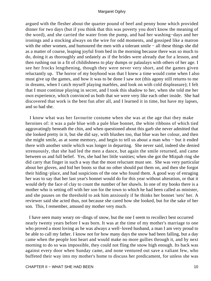argued with the flesher about the quarter pound of beef and penny bone which provided dinner for two days (but if you think that this was poverty you don't know the meaning of the word), and she carried the water from the pump, and had her washing−days and her ironings and a stocking always on the wire for odd moments, and gossiped like a matron with the other women, and humoured the men with a tolerant smile − all these things she did as a matter of course, leaping joyful from bed in the morning because there was so much to do, doing it as thoroughly and sedately as if the brides were already due for a lesson, and then rushing out in a fit of childishness to play dumps or palaulays with others of her age. I see her frocks lengthening, though they were never very short, and the games given reluctantly up. The horror of my boyhood was that I knew a time would come when I also must give up the games, and how it was to be done I saw not (this agony still returns to me in dreams, when I catch myself playing marbles, and look on with cold displeasure); I felt that I must continue playing in secret, and I took this shadow to her, when she told me her own experience, which convinced us both that we were very like each other inside. She had discovered that work is the best fun after all, and I learned it in time, but have my lapses, and so had she.

 I know what was her favourite costume when she was at the age that they make heroines of: it was a pale blue with a pale blue bonnet, the white ribbons of which tied aggravatingly beneath the chin, and when questioned about this garb she never admitted that she looked pretty in it, but she did say, with blushes too, that blue was her colour, and then she might smile, as at some memory, and begin to tell us about a man who − but it ended there with another smile which was longer in departing. She never said, indeed she denied strenuously, that she had led the men a dance, but again the smile returned, and came between us and full belief. Yes, she had her little vanities; when she got the Mizpah ring she did carry that finger in such a way that the most reluctant must see. She was very particular about her gloves, and hid her boots so that no other should put them on, and then she forgot their hiding−place, and had suspicions of the one who found them. A good way of enraging her was to say that her last year's bonnet would do for this year without alteration, or that it would defy the face of clay to count the number of her shawls. In one of my books there is a mother who is setting off with her son for the town to which he had been called as minister, and she pauses on the threshold to ask him anxiously if he thinks her bonnet 'sets' her. A reviewer said she acted thus, not because she cared how she looked, but for the sake of her son. This, I remember, amused my mother very much.

 I have seen many weary on−dings of snow, but the one I seem to recollect best occurred nearly twenty years before I was born. It was at the time of my mother's marriage to one who proved a most loving as he was always a well−loved husband, a man I am very proud to be able to call my father. I know not for how many days the snow had been falling, but a day came when the people lost heart and would make no more gullies through it, and by next morning to do so was impossible, they could not fling the snow high enough. Its back was against every door when Sunday came, and none ventured out save a valiant few, who buffeted their way into my mother's home to discuss her predicament, for unless she was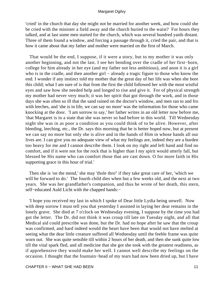'cried' in the church that day she might not be married for another week, and how could she be cried with the minister a field away and the church buried to the waist? For hours they talked, and at last some men started for the church, which was several hundred yards distant. Three of them found a window, and forcing a passage through it, cried the pair, and that is how it came about that my father and mother were married on the first of March.

 That would be the end, I suppose, if it were a story, but to my mother it was only another beginning, and not the last. I see her bending over the cradle of her first−born, college for him already in her eye (and my father not less ambitious), and anon it is a girl who is in the cradle, and then another girl – already a tragic figure to those who know the end. I wonder if any instinct told my mother that the great day of her life was when she bore this child; what I am sure of is that from the first the child followed her with the most wistful eyes and saw how she needed help and longed to rise and give it. For of physical strength my mother had never very much; it was her spirit that got through the work, and in those days she was often so ill that the sand rained on the doctor's window, and men ran to and fro with leeches, and 'she is in life, we can say no more' was the information for those who came knocking at the door. 'I am sorrow to say,' her father writes in an old letter now before me, 'that Margaret is in a state that she was never so bad before in this world. Till Wednesday night she was in as poor a condition as you could think of to be alive. However, after bleeding, leeching, etc., the Dr. says this morning that he is better hoped now, but at present we can say no more but only she is alive and in the hands of Him in whose hands all our lives are. I can give you no adequate view of what my feelings are, indeed they are a burden too heavy for me and I cannot describe them. I look on my right and left hand and find no comfort, and if it were not for the rock that is higher than I my spirit would utterly fall, but blessed be His name who can comfort those that are cast down. O for more faith in His supporting grace in this hour of trial.'

 Then she is 'on the mend,' she may 'thole thro'' if they take great care of her, 'which we will be forward to do.' The fourth child dies when but a few weeks old, and the next at two years. She was her grandfather's companion, and thus he wrote of her death, this stern, self−educated Auld Licht with the chapped hands:−

 'I hope you received my last in which I spoke of Dear little Lydia being unwell. Now with deep sorrow I must tell you that yesterday I assisted in laying her dear remains in the lonely grave. She died at 7 o'clock on Wednesday evening, I suppose by the time you had got the letter. The Dr. did not think it was croup till late on Tuesday night, and all that Medical aid could prescribe was done, but the Dr. had no hope after he saw that the croup was confirmed, and hard indeed would the heart have been that would not have melted at seeing what the dear little creature suffered all Wednesday until the feeble frame was quite worn out. She was quite sensible till within 2 hours of her death, and then she sunk quite low till the vital spark fled, and all medicine that she got she took with the greatest readiness, as if apprehensive they would make her well. I cannot well describe my feelings on the occasion. I thought that the fountain−head of my tears had now been dried up, but I have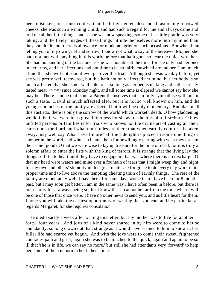been mistaken, for I must confess that the briny rivulets descended fast on my furrowed cheeks, she was such a winning Child, and had such a regard for me and always came and told me all her little things, and as she was now speaking, some of her little prattle was very taking, and the lively images of these things intrude themselves more into my mind than they should do, but there is allowance for moderate grief on such occasions. But when I am telling you of my own grief and sorrow, I know not what to say of the bereaved Mother, she hath not met with anything in this world before that hath gone so near the quick with her. She had no handling of the last one as she was not able at the time, for she only had her once in her arms, and her affections had not time to be so fairly entwined around her. I am much afraid that she will not soon if ever get over this trial. Although she was weakly before, yet she was pretty well recovered, but this hath not only affected her mind, but her body is so much affected that she is not well able to sit so long as her bed is making and hath scarcely tasted meat [i.e. food] since Monday night, and till some time is elapsed we cannot say how she may be. There is none that is not a Parent themselves that can fully sympathise with one in such a state. David is much affected also, but it is not so well known on him, and the younger branches of the family are affected but it will be only momentary. But alas in all this vast ado, there is only the sorrow of the world which worketh death. O how gladdening would it be if we were in as great bitterness for sin as for the loss of a first−born. O how unfitted persons or families is for trials who knows not the divine art of casting all their cares upon the Lord, and what multitudes are there that when earthly comforts is taken away, may well say What have I more? all their delight is placed in some one thing or another in the world, and who can blame them for unwillingly parting with what they esteem their chief good? O that we were wise to lay up treasure for the time of need, for it is truly a solemn affair to enter the lists with the king of terrors. It is strange that the living lay the things so little to heart until they have to engage in that war where there is no discharge. O that my head were waters and mine eyes a fountain of tears that I might weep day and night for my own and others' stupidity in this great matter. O for grace to do every day work in its proper time and to live above the tempting cheating train of earthly things. The rest of the family are moderately well. I have been for some days worse than I have been for 8 months past, but I may soon get better. I am in the same way I have often been in before, but there is no security for it always being so, for I know that it cannot be far from the time when I will be one of those that once were. I have no other news to send you, and as little heart for them. I hope you will take the earliest opportunity of writing that you can, and be particular as regards Margaret, for she requires consolation.'

 He died exactly a week after writing this letter, but my mother was to live for another forty−four years. And joys of a kind never shared in by him were to come to her so abundantly, so long drawn out that, strange as it would have seemed to him to know it, her fuller life had scarce yet begun. And with the joys were to come their sweet, frightened comrades pain and grief; again she was to be touched to the quick, again and again to be so ill that 'she is in life, we can say no more,' but still she had attendants very 'forward' to help her, some of them unborn in her father's time.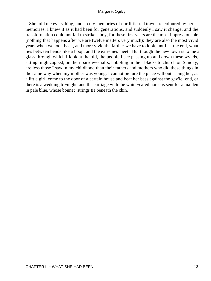She told me everything, and so my memories of our little red town are coloured by her memories. I knew it as it had been for generations, and suddenly I saw it change, and the transformation could not fail to strike a boy, for these first years are the most impressionable (nothing that happens after we are twelve matters very much); they are also the most vivid years when we look back, and more vivid the farther we have to look, until, at the end, what lies between bends like a hoop, and the extremes meet. But though the new town is to me a glass through which I look at the old, the people I see passing up and down these wynds, sitting, nightcapped, on their barrow−shafts, hobbling in their blacks to church on Sunday, are less those I saw in my childhood than their fathers and mothers who did these things in the same way when my mother was young. I cannot picture the place without seeing her, as a little girl, come to the door of a certain house and beat her bass against the gav'le−end, or there is a wedding to−night, and the carriage with the white−eared horse is sent for a maiden in pale blue, whose bonnet−strings tie beneath the chin.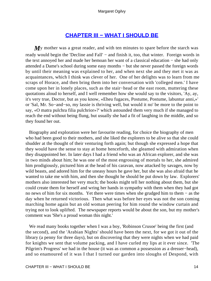### **[CHAPTER III − WHAT I SHOULD BE](#page-68-0)**

<span id="page-14-0"></span>My mother was a great reader, and with ten minutes to spare before the starch was ready would begin the 'Decline and Fall' – and finish it, too, that winter. Foreign words in the text annoyed her and made her bemoan her want of a classical education − she had only attended a Dame's school during some easy months − but she never passed the foreign words by until their meaning was explained to her, and when next she and they met it was as acquaintances, which I think was clever of her. One of her delights was to learn from me scraps of Horace, and then bring them into her conversation with 'colleged men.' I have come upon her in lonely places, such as the stair−head or the east room, muttering these quotations aloud to herself, and I well remember how she would say to the visitors, 'Ay, ay, it's very true, Doctor, but as you know, «Eheu fugaces, Postume, Postume, labuntur anni,»' or 'Sal, Mr. So−and−so, my lassie is thriving well, but would it no' be more to the point to say, «O matra pulchra filia pulchrior»?' which astounded them very much if she managed to reach the end without being flung, but usually she had a fit of laughing in the middle, and so they found her out.

 Biography and exploration were her favourite reading, for choice the biography of men who had been good to their mothers, and she liked the explorers to be alive so that she could shudder at the thought of their venturing forth again; but though she expressed a hope that they would have the sense to stay at home henceforth, she gleamed with admiration when they disappointed her. In later days I had a friend who was an African explorer, and she was in two minds about him; he was one of the most engrossing of mortals to her, she admired him prodigiously, pictured him at the head of his caravan, now attacked by savages, now by wild beasts, and adored him for the uneasy hours he gave her, but she was also afraid that he wanted to take me with him, and then she thought he should be put down by law. Explorers' mothers also interested her very much; the books might tell her nothing about them, but she could create them for herself and wring her hands in sympathy with them when they had got no news of him for six months. Yet there were times when she grudged him to them − as the day when he returned victorious. Then what was before her eyes was not the son coming marching home again but an old woman peering for him round the window curtain and trying not to look uplifted. The newspaper reports would be about the son, but my mother's comment was 'She's a proud woman this night.'

 We read many books together when I was a boy, 'Robinson Crusoe' being the first (and the second), and the 'Arabian Nights' should have been the next, for we got it out of the library (a penny for three days), but on discovering that they were nights when we had paid for knights we sent that volume packing, and I have curled my lips at it ever since. 'The Pilgrim's Progress' we had in the house (it was as common a possession as a dresser−head), and so enamoured of it was I that I turned our garden into sloughs of Despond, with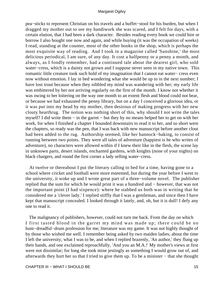pea−sticks to represent Christian on his travels and a buffet−stool for his burden, but when I dragged my mother out to see my handiwork she was scared, and I felt for days, with a certain elation, that I had been a dark character. Besides reading every book we could hire or borrow I also bought one now and again, and while buying (it was the occupation of weeks) I read, standing at the counter, most of the other books in the shop, which is perhaps the most exquisite way of reading. And I took in a magazine called 'Sunshine,' the most delicious periodical, I am sure, of any day. It cost a halfpenny or a penny a month, and always, as I fondly remember, had a continued tale about the dearest girl, who sold water−cress, which is a dainty not grown and I suppose never seen in my native town. This romantic little creature took such hold of my imagination that I cannot eat water− cress even now without emotion. I lay in bed wondering what she would be up to in the next number; I have lost trout because when they nibbled my mind was wandering with her; my early life was embittered by her not arriving regularly on the first of the month. I know not whether it was owing to her loitering on the way one month to an extent flesh and blood could not bear, or because we had exhausted the penny library, but on a day I conceived a glorious idea, or it was put into my head by my mother, then desirous of making progress with her new clouty hearthrug. The notion was nothing short of this, why should I not write the tales myself? I did write them − in the garret − but they by no means helped her to get on with her work, for when I finished a chapter I bounded downstairs to read it to her, and so short were the chapters, so ready was the pen, that I was back with new manuscript before another clout had been added to the rug. Authorship seemed, like her bannock−baking, to consist of running between two points. They were all tales of adventure (happiest is he who writes of adventure), no characters were allowed within if I knew their like in the flesh, the scene lay in unknown parts, desert islands, enchanted gardens, with knights (none of your nights) on black chargers, and round the first corner a lady selling water−cress.

 At twelve or thereabout I put the literary calling to bed for a time, having gone to a school where cricket and football were more esteemed, but during the year before I went to the university, it woke up and I wrote great part of a three−volume novel. The publisher replied that the sum for which he would print it was a hundred and − however, that was not the important point (I had sixpence): where he stabbed us both was in writing that he considered me a 'clever lady.' I replied stiffly that I was a gentleman, and since then I have kept that manuscript concealed. I looked through it lately, and, oh, but it is dull! I defy any one to read it.

 The malignancy of publishers, however, could not turn me back. From the day on which I first tasted blood in the garret my mind was made up; there could be no hum−dreadful−drum profession for me; literature was my game. It was not highly thought of by those who wished me well. I remember being asked by two maiden ladies, about the time I left the university, what I was to be, and when I replied brazenly, 'An author,' they flung up their hands, and one exclaimed reproachfully, 'And you an M.A.!' My mother's views at first were not dissimilar; for long she took mine jestingly as something I would grow out of, and afterwards they hurt her so that I tried to give them up. To be a minister − that she thought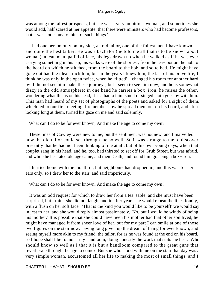was among the fairest prospects, but she was a very ambitious woman, and sometimes she would add, half scared at her appetite, that there were ministers who had become professors, 'but it was not canny to think of such things.'

 I had one person only on my side, an old tailor, one of the fullest men I have known, and quite the best talker. He was a bachelor (he told me all that is to be known about woman), a lean man, pallid of face, his legs drawn up when he walked as if he was ever carrying something in his lap; his walks were of the shortest, from the tea− pot on the hob to the board on which he stitched, from the board to the hob, and so to bed. He might have gone out had the idea struck him, but in the years I knew him, the last of his brave life, I think he was only in the open twice, when he 'flitted' − changed his room for another hard by. I did not see him make these journeys, but I seem to see him now, and he is somewhat dizzy in the odd atmosphere; in one hand he carries a box−iron, he raises the other, wondering what this is on his head, it is a hat; a faint smell of singed cloth goes by with him. This man had heard of my set of photographs of the poets and asked for a sight of them, which led to our first meeting. I remember how he spread them out on his board, and after looking long at them, turned his gaze on me and said solemnly,

What can I do to be for ever known, And make the age to come my own?

 These lines of Cowley were new to me, but the sentiment was not new, and I marvelled how the old tailor could see through me so well. So it was strange to me to discover presently that he had not been thinking of me at all, but of his own young days, when that couplet sang in his head, and he, too, had thirsted to set off for Grub Street, but was afraid, and while he hesitated old age came, and then Death, and found him grasping a box−iron.

 I hurried home with the mouthful, but neighbours had dropped in, and this was for her ears only, so I drew her to the stair, and said imperiously,

What can I do to be for ever known, And make the age to come my own?

 It was an odd request for which to draw her from a tea−table, and she must have been surprised, but I think she did not laugh, and in after years she would repeat the lines fondly, with a flush on her soft face. 'That is the kind you would like to be yourself!' we would say in jest to her, and she would reply almost passionately, 'No, but I would be windy of being his mother.' It is possible that she could have been his mother had that other son lived, he might have managed it from sheer love of her, but for my part I can smile at one of those two figures on the stair now, having long given up the dream of being for ever known, and seeing myself more akin to my friend, the tailor, for as he was found at the end on his board, so I hope shall I be found at my handloom, doing honestly the work that suits me best. Who should know so well as I that it is but a handloom compared to the great guns that reverberate through the age to come? But she who stood with me on the stair that day was a very simple woman, accustomed all her life to making the most of small things, and I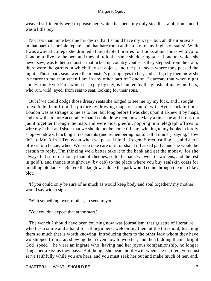weaved sufficiently well to please her, which has been my only steadfast ambition since I was a little boy.

 Not less than mine became her desire that I should have my way − but, ah, the iron seats in that park of horrible repute, and that bare room at the top of many flights of stairs! While I was away at college she drained all available libraries for books about those who go to London to live by the pen, and they all told the same shuddering tale. London, which she never saw, was to her a monster that licked up country youths as they stepped from the train; there were the garrets in which they sat abject, and the park seats where they passed the night. Those park seats were the monster's glaring eyes to her, and as I go by them now she is nearer to me than when I am in any other part of London. I daresay that when night comes, this Hyde Park which is so gay by day, is haunted by the ghosts of many mothers, who run, wild−eyed, from seat to seat, looking for their sons.

 But if we could dodge those dreary seats she longed to see me try my luck, and I sought to exclude them from the picture by drawing maps of London with Hyde Park left out. London was as strange to me as to her, but long before I was shot upon it I knew it by maps, and drew them more accurately than I could draw them now. Many a time she and I took our jaunt together through the map, and were most gleeful, popping into telegraph offices to wire my father and sister that we should not be home till late, winking to my books in lordly shop−windows, lunching at restaurants (and remembering not to call it dinner), saying, 'How do?' to Mr. Alfred Tennyson when we passed him in Regent Street, calling at publishers' offices for cheque, when 'Will you take care of it, or shall I?' I asked gaily, and she would be certain to reply, 'I'm thinking we'd better take it to the bank and get the money,' for she always felt surer of money than of cheques; so to the bank we went ('Two tens, and the rest in gold'), and thence straightway (by cab) to the place where you buy sealskin coats for middling old ladies. But ere the laugh was done the park would come through the map like a blot.

 'If you could only be sure of as much as would keep body and soul together,' my mother would say with a sigh.

'With something over, mother, to send to you.'

'You couldna expect that at the start.'

 The wench I should have been courting now was journalism, that grisette of literature who has a smile and a hand for all beginners, welcoming them at the threshold, teaching them so much that is worth knowing, introducing them to the other lady whom they have worshipped from afar, showing them even how to woo her, and then bidding them a bright God−speed − he were an ingrate who, having had her joyous companionship, no longer flings her a kiss as they pass. But though she bears no ill−will when she is jilted, you must serve faithfully while you are hers, and you must seek her out and make much of her, and,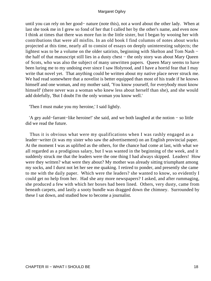until you can rely on her good− nature (note this), not a word about the other lady. When at last she took me in I grew so fond of her that I called her by the other's name, and even now I think at times that there was more fun in the little sister, but I began by wooing her with contributions that were all misfits. In an old book I find columns of notes about works projected at this time, nearly all to consist of essays on deeply uninteresting subjects; the lightest was to be a volume on the older satirists, beginning with Skelton and Tom Nash − the half of that manuscript still lies in a dusty chest − the only story was about Mary Queen of Scots, who was also the subject of many unwritten papers. Queen Mary seems to have been luring me to my undoing ever since I saw Holyrood, and I have a horrid fear that I may write that novel yet. That anything could be written about my native place never struck me. We had read somewhere that a novelist is better equipped than most of his trade if he knows himself and one woman, and my mother said, 'You know yourself, for everybody must know himself' (there never was a woman who knew less about herself than she), and she would add dolefully, 'But I doubt I'm the only woman you know well.'

'Then I must make you my heroine,' I said lightly.

 'A gey auld−farrant−like heroine!' she said, and we both laughed at the notion − so little did we read the future.

 Thus it is obvious what were my qualifications when I was rashly engaged as a leader−writer (it was my sister who saw the advertisement) on an English provincial paper. At the moment I was as uplifted as the others, for the chance had come at last, with what we all regarded as a prodigious salary, but I was wanted in the beginning of the week, and it suddenly struck me that the leaders were the one thing I had always skipped. Leaders! How were they written? what were they about? My mother was already sitting triumphant among my socks, and I durst not let her see me quaking. I retired to ponder, and presently she came to me with the daily paper. Which were the leaders? she wanted to know, so evidently I could get no help from her. Had she any more newspapers? I asked, and after rummaging, she produced a few with which her boxes had been lined. Others, very dusty, came from beneath carpets, and lastly a sooty bundle was dragged down the chimney. Surrounded by these I sat down, and studied how to become a journalist.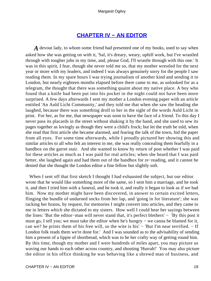### **[CHAPTER IV − AN EDITOR](#page-68-0)**

<span id="page-19-0"></span>*A* devout lady, to whom some friend had presented one of my books, used to say when asked how she was getting on with it, 'Sal, it's dreary, weary, uphill work, but I've wrastled through with tougher jobs in my time, and, please God, I'll wrastle through with this one.' It was in this spirit, I fear, though she never told me so, that my mother wrestled for the next year or more with my leaders, and indeed I was always genuinely sorry for the people I saw reading them. In my spare hours I was trying journalism of another kind and sending it to London, but nearly eighteen months elapsed before there came to me, as unlooked for as a telegram, the thought that there was something quaint about my native place. A boy who found that a knife had been put into his pocket in the night could not have been more surprised. A few days afterwards I sent my mother a London evening paper with an article entitled 'An Auld Licht Community,' and they told me that when she saw the heading she laughed, because there was something droll to her in the sight of the words Auld Licht in print. For her, as for me, that newspaper was soon to have the face of a friend. To this day I never pass its placards in the street without shaking it by the hand, and she used to sew its pages together as lovingly as though they were a child's frock; but let the truth be told, when she read that first article she became alarmed, and fearing the talk of the town, hid the paper from all eyes. For some time afterwards, while I proudly pictured her showing this and similar articles to all who felt an interest in me, she was really concealing them fearfully in a bandbox on the garret stair. And she wanted to know by return of post whether I was paid for these articles as much as I was paid for real articles; when she heard that I was paid better, she laughed again and had them out of the bandbox for re−reading, and it cannot be denied that she thought the London editor a fine fellow but slightly soft.

When I sent off that first sketch I thought I had exhausted the subject, but our editor wrote that he would like something more of the same, so I sent him a marriage, and he took it, and then I tried him with a funeral, and he took it, and really it began to look as if we had him. Now my mother might have been discovered, in answer to certain excited letters, flinging the bundle of undarned socks from her lap, and 'going in for literature'; she was racking her brains, by request, for memories I might convert into articles, and they came to me in letters which she dictated to my sisters. How well I could hear her sayings between the lines: 'But the editor−man will never stand that, it's perfect blethers' − 'By this post it must go, I tell you; we must take the editor when he's hungry – we canna be blamed for it, can we? he prints them of his free will, so the wite is his' − 'But I'm near terrified. − If London folk reads them we're done for.' And I was sounded as to the advisability of sending him a present of a lippie of shortbread, which was to be her crafty way of getting round him. By this time, though my mother and I were hundreds of miles apart, you may picture us waving our hands to each other across country, and shouting 'Hurrah!' You may also picture the editor in his office thinking he was behaving like a shrewd man of business, and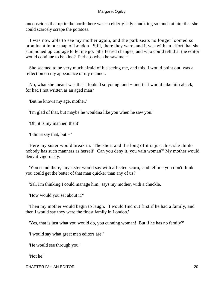unconscious that up in the north there was an elderly lady chuckling so much at him that she could scarcely scrape the potatoes.

 I was now able to see my mother again, and the park seats no longer loomed so prominent in our map of London. Still, there they were, and it was with an effort that she summoned up courage to let me go. She feared changes, and who could tell that the editor would continue to be kind? Perhaps when he saw me −

 She seemed to be very much afraid of his seeing me, and this, I would point out, was a reflection on my appearance or my manner.

 No, what she meant was that I looked so young, and − and that would take him aback, for had I not written as an aged man?

'But he knows my age, mother.'

'I'm glad of that, but maybe he wouldna like you when he saw you.'

'Oh, it is my manner, then!'

'I dinna say that, but − '

 Here my sister would break in: 'The short and the long of it is just this, she thinks nobody has such manners as herself. Can you deny it, you vain woman?' My mother would deny it vigorously.

 'You stand there,' my sister would say with affected scorn, 'and tell me you don't think you could get the better of that man quicker than any of us?'

'Sal, I'm thinking I could manage him,' says my mother, with a chuckle.

'How would you set about it?'

 Then my mother would begin to laugh. 'I would find out first if he had a family, and then I would say they were the finest family in London.'

'Yes, that is just what you would do, you cunning woman! But if he has no family?'

'I would say what great men editors are!'

'He would see through you.'

'Not he!'

CHAPTER IV − AN EDITOR 20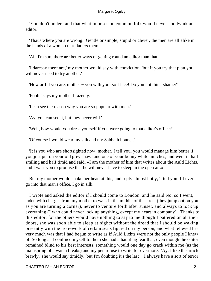'You don't understand that what imposes on common folk would never hoodwink an editor.'

 'That's where you are wrong. Gentle or simple, stupid or clever, the men are all alike in the hands of a woman that flatters them.'

'Ah, I'm sure there are better ways of getting round an editor than that.'

 'I daresay there are,' my mother would say with conviction, 'but if you try that plan you will never need to try another.'

'How artful you are, mother − you with your soft face! Do you not think shame?'

'Pooh!' says my mother brazenly.

'I can see the reason why you are so popular with men.'

'Ay, you can see it, but they never will.'

'Well, how would you dress yourself if you were going to that editor's office?'

'Of course I would wear my silk and my Sabbath bonnet.'

 'It is you who are shortsighted now, mother. I tell you, you would manage him better if you just put on your old grey shawl and one of your bonny white mutches, and went in half smiling and half timid and said, «I am the mother of him that writes about the Auld Lichts, and I want you to promise that he will never have to sleep in the open air.»'

 But my mother would shake her head at this, and reply almost hotly, 'I tell you if I ever go into that man's office, I go in silk.'

 I wrote and asked the editor if I should come to London, and he said No, so I went, laden with charges from my mother to walk in the middle of the street (they jump out on you as you are turning a corner), never to venture forth after sunset, and always to lock up everything (I who could never lock up anything, except my heart in company). Thanks to this editor, for the others would have nothing to say to me though I battered on all their doors, she was soon able to sleep at nights without the dread that I should be waking presently with the iron−work of certain seats figured on my person, and what relieved her very much was that I had begun to write as if Auld Lichts were not the only people I knew of. So long as I confined myself to them she had a haunting fear that, even though the editor remained blind to his best interests, something would one day go crack within me (as the mainspring of a watch breaks) and my pen refuse to write for evermore. 'Ay, I like the article brawly,' she would say timidly, 'but I'm doubting it's the last − I always have a sort of terror

CHAPTER IV − AN EDITOR 21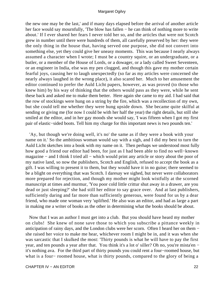the new one may be the last,' and if many days elapsed before the arrival of another article her face would say mournfully, 'The blow has fallen – he can think of nothing more to write about.' If I ever shared her fears I never told her so, and the articles that were not Scotch grew in number until there were hundreds of them, all carefully preserved by her: they were the only thing in the house that, having served one purpose, she did not convert into something else, yet they could give her uneasy moments. This was because I nearly always assumed a character when I wrote; I must be a country squire, or an undergraduate, or a butler, or a member of the House of Lords, or a dowager, or a lady called Sweet Seventeen, or an engineer in India, else was my pen clogged, and though this gave my mother certain fearful joys, causing her to laugh unexpectedly (so far as my articles were concerned she nearly always laughed in the wrong place), it also scared her. Much to her amusement the editor continued to prefer the Auld Licht papers, however, as was proved (to those who knew him) by his way of thinking that the others would pass as they were, while he sent these back and asked me to make them better. Here again she came to my aid. I had said that the row of stockings were hung on a string by the fire, which was a recollection of my own, but she could tell me whether they were hung upside down. She became quite skilful at sending or giving me (for now I could be with her half the year) the right details, but still she smiled at the editor, and in her gay moods she would say, 'I was fifteen when I got my first pair of elastic−sided boots. Tell him my charge for this important news is two pounds ten.'

 'Ay, but though we're doing well, it's no' the same as if they were a book with your name on it.' So the ambitious woman would say with a sigh, and I did my best to turn the Auld Licht sketches into a book with my name on it. Then perhaps we understood most fully how good a friend our editor had been, for just as I had been able to find no well−known magazine − and I think I tried all − which would print any article or story about the poor of my native land, so now the publishers, Scotch and English, refused to accept the book as a gift. I was willing to present it to them, but they would have it in no guise; there seemed to be a blight on everything that was Scotch. I daresay we sighed, but never were collaborators more prepared for rejection, and though my mother might look wistfully at the scorned manuscript at times and murmur, 'You poor cold little crittur shut away in a drawer, are you dead or just sleeping?' she had still her editor to say grace over. And at last publishers, sufficiently daring and far more than sufficiently generous, were found for us by a dear friend, who made one woman very 'uplifted.' He also was an editor, and had as large a part in making me a writer of books as the other in determining what the books should be about.

 Now that I was an author I must get into a club. But you should have heard my mother on clubs! She knew of none save those to which you subscribe a pittance weekly in anticipation of rainy days, and the London clubs were her scorn. Often I heard her on them − she raised her voice to make me hear, whichever room I might be in, and it was when she was sarcastic that I skulked the most: 'Thirty pounds is what he will have to pay the first year, and ten pounds a year after that. You think it's a lot o' siller? Oh no, you're mista'en − it's nothing ava. For the third part of thirty pounds you could rent a four−roomed house, but what is a four− roomed house, what is thirty pounds, compared to the glory of being a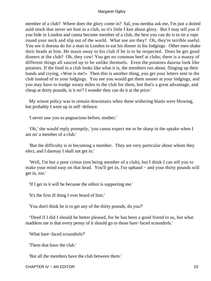member of a club? Where does the glory come in? Sal, you needna ask me, I'm just a doited auld stock that never set foot in a club, so it's little I ken about glory. But I may tell you if you bide in London and canna become member of a club, the best you can do is to tie a rope round your neck and slip out of the world. What use are they? Oh, they're terrible useful. You see it doesna do for a man in London to eat his dinner in his lodgings. Other men shake their heads at him. He maun away to his club if he is to be respected. Does he get good dinners at the club? Oh, they cow! You get no common beef at clubs; there is a manzy of different things all sauced up to be unlike themsels. Even the potatoes daurna look like potatoes. If the food in a club looks like what it is, the members run about, flinging up their hands and crying, «Woe is me!» Then this is another thing, you get your letters sent to the club instead of to your lodgings. You see you would get them sooner at your lodgings, and you may have to trudge weary miles to the club for them, but that's a great advantage, and cheap at thirty pounds, is it no'? I wonder they can do it at the price.'

 My wisest policy was to remain downstairs when these withering blasts were blowing, but probably I went up in self−defence.

'I never saw you so pugnacious before, mother.'

 'Oh,' she would reply promptly, 'you canna expect me to be sharp in the uptake when I am no' a member of a club.'

 'But the difficulty is in becoming a member. They are very particular about whom they elect, and I daresay I shall not get in.'

 'Well, I'm but a poor crittur (not being member of a club), but I think I can tell you to make your mind easy on that head. You'll get in, I'se uphaud – and your thirty pounds will get in, too.'

'If I get in it will be because the editor is supporting me.'

'It's the first ill thing I ever heard of him.'

'You don't think he is to get any of the thirty pounds, do you?'

 ''Deed if I did I should be better pleased, for he has been a good friend to us, but what maddens me is that every penny of it should go to those bare−faced scoundrels.'

'What bare−faced scoundrels?'

'Them that have the club.'

'But all the members have the club between them.'

CHAPTER IV − AN EDITOR 23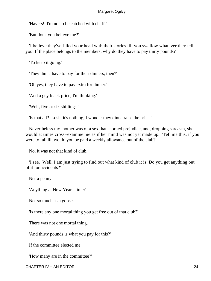'Havers! I'm no' to be catched with chaff.'

'But don't you believe me?'

 'I believe they've filled your head with their stories till you swallow whatever they tell you. If the place belongs to the members, why do they have to pay thirty pounds?'

'To keep it going.'

'They dinna have to pay for their dinners, then?'

'Oh yes, they have to pay extra for dinner.'

'And a gey black price, I'm thinking.'

'Well, five or six shillings.'

'Is that all? Losh, it's nothing, I wonder they dinna raise the price.'

 Nevertheless my mother was of a sex that scorned prejudice, and, dropping sarcasm, she would at times cross−examine me as if her mind was not yet made up. 'Tell me this, if you were to fall ill, would you be paid a weekly allowance out of the club?'

No, it was not that kind of club.

 'I see. Well, I am just trying to find out what kind of club it is. Do you get anything out of it for accidents?'

Not a penny.

'Anything at New Year's time?'

Not so much as a goose.

'Is there any one mortal thing you get free out of that club?'

There was not one mortal thing.

'And thirty pounds is what you pay for this?'

If the committee elected me.

'How many are in the committee?'

CHAPTER IV − AN EDITOR 24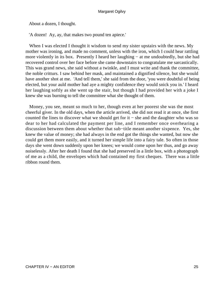About a dozen, I thought.

'A dozen! Ay, ay, that makes two pound ten apiece.'

When I was elected I thought it wisdom to send my sister upstairs with the news. My mother was ironing, and made no comment, unless with the iron, which I could hear rattling more violently in its box. Presently I heard her laughing − at me undoubtedly, but she had recovered control over her face before she came downstairs to congratulate me sarcastically. This was grand news, she said without a twinkle, and I must write and thank the committee, the noble critturs. I saw behind her mask, and maintained a dignified silence, but she would have another shot at me. 'And tell them,' she said from the door, 'you were doubtful of being elected, but your auld mother had aye a mighty confidence they would snick you in.' I heard her laughing softly as she went up the stair, but though I had provided her with a joke I knew she was burning to tell the committee what she thought of them.

 Money, you see, meant so much to her, though even at her poorest she was the most cheerful giver. In the old days, when the article arrived, she did not read it at once, she first counted the lines to discover what we should get for it − she and the daughter who was so dear to her had calculated the payment per line, and I remember once overhearing a discussion between them about whether that sub−title meant another sixpence. Yes, she knew the value of money; she had always in the end got the things she wanted, but now she could get them more easily, and it turned her simple life into a fairy tale. So often in those days she went down suddenly upon her knees; we would come upon her thus, and go away noiselessly. After her death I found that she had preserved in a little box, with a photograph of me as a child, the envelopes which had contained my first cheques. There was a little ribbon round them.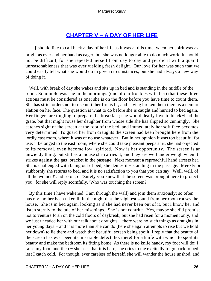### **[CHAPTER V − A DAY OF HER LIFE](#page-68-0)**

<span id="page-26-0"></span>*I* should like to call back a day of her life as it was at this time, when her spirit was as bright as ever and her hand as eager, but she was no longer able to do much work. It should not be difficult, for she repeated herself from day to day and yet did it with a quaint unreasonableness that was ever yielding fresh delight. Our love for her was such that we could easily tell what she would do in given circumstances, but she had always a new way of doing it.

 Well, with break of day she wakes and sits up in bed and is standing in the middle of the room. So nimble was she in the mornings (one of our troubles with her) that these three actions must be considered as one; she is on the floor before you have time to count them. She has strict orders not to rise until her fire is lit, and having broken them there is a demure elation on her face. The question is what to do before she is caught and hurried to bed again. Her fingers are tingling to prepare the breakfast; she would dearly love to black−lead the grate, but that might rouse her daughter from whose side she has slipped so cunningly. She catches sight of the screen at the foot of the bed, and immediately her soft face becomes very determined. To guard her from draughts the screen had been brought here from the lordly east room, where it was of no use whatever. But in her opinion it was too beautiful for use; it belonged to the east room, where she could take pleasant peeps at it; she had objected to its removal, even become low−spirited. Now is her opportunity. The screen is an unwieldy thing, but still as a mouse she carries it, and they are well under weigh when it strikes against the gas−bracket in the passage. Next moment a reproachful hand arrests her. She is challenged with being out of bed, she denies it − standing in the passage. Meekly or stubbornly she returns to bed, and it is no satisfaction to you that you can say, 'Well, well, of all the women!' and so on, or 'Surely you knew that the screen was brought here to protect you,' for she will reply scornfully, 'Who was touching the screen?'

 By this time I have wakened (I am through the wall) and join them anxiously: so often has my mother been taken ill in the night that the slightest sound from her room rouses the house. She is in bed again, looking as if she had never been out of it, but I know her and listen sternly to the tale of her misdoings. She is not contrite. Yes, maybe she did promise not to venture forth on the cold floors of daybreak, but she had risen for a moment only, and we just t'neaded her with our talk about draughts – there were no such things as draughts in her young days – and it is more than she can do (here she again attempts to rise but we hold her down) to lie there and watch that beautiful screen being spoilt. I reply that the beauty of the screen has ever been its miserable defect: ho, there! for a knife with which to spoil its beauty and make the bedroom its fitting home. As there is no knife handy, my foot will do; I raise my foot, and then − she sees that it is bare, she cries to me excitedly to go back to bed lest I catch cold. For though, ever careless of herself, she will wander the house unshod, and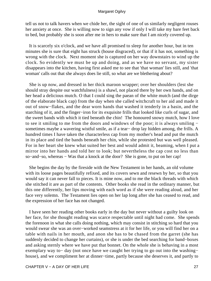tell us not to talk havers when we chide her, the sight of one of us similarly negligent rouses her anxiety at once. She is willing now to sign any vow if only I will take my bare feet back to bed, but probably she is soon after me in hers to make sure that I am nicely covered up.

 It is scarcely six o'clock, and we have all promised to sleep for another hour, but in ten minutes she is sure that eight has struck (house disgraced), or that if it has not, something is wrong with the clock. Next moment she is captured on her way downstairs to wind up the clock. So evidently we must be up and doing, and as we have no servant, my sister disappears into the kitchen, having first asked me to see that 'that woman' lies still, and 'that woman' calls out that she always does lie still, so what are we blethering about?

 She is up now, and dressed in her thick maroon wrapper; over her shoulders (lest she should stray despite our watchfulness) is a shawl, not placed there by her own hands, and on her head a delicious mutch. O that I could sing the paean of the white mutch (and the dirge of the elaborate black cap) from the day when she called witchcraft to her aid and made it out of snow−flakes, and the dear worn hands that washed it tenderly in a basin, and the starching of it, and the finger−iron for its exquisite frills that looked like curls of sugar, and the sweet bands with which it tied beneath the chin! The honoured snowy mutch, how I love to see it smiling to me from the doors and windows of the poor; it is always smiling − sometimes maybe a wavering wistful smile, as if a tear− drop lay hidden among, the frills. A hundred times I have taken the characterless cap from my mother's head and put the mutch in its place and tied the bands beneath her chin, while she protested but was well pleased. For in her heart she knew what suited her best and would admit it, beaming, when I put a mirror into her hands and told her to look; but nevertheless the cap cost no less than so–and–so, whereas – Was that a knock at the door? She is gone, to put on her cap!

 She begins the day by the fireside with the New Testament in her hands, an old volume with its loose pages beautifully refixed, and its covers sewn and resewn by her, so that you would say it can never fall to pieces. It is mine now, and to me the black threads with which she stitched it are as part of the contents. Other books she read in the ordinary manner, but this one differently, her lips moving with each word as if she were reading aloud, and her face very solemn. The Testament lies open on her lap long after she has ceased to read, and the expression of her face has not changed.

 I have seen her reading other books early in the day but never without a guilty look on her face, for she thought reading was scarce respectable until night had come. She spends the forenoon in what she calls doing nothing, which may consist in stitching so hard that you would swear she was an over−worked seamstress at it for her life, or you will find her on a table with nails in her mouth, and anon she has to be chased from the garret (she has suddenly decided to change her curtains), or she is under the bed searching for band−boxes and asking sternly where we have put that bonnet. On the whole she is behaving in a most exemplary way to− day (not once have we caught her trying to go out into the washing− house), and we compliment her at dinner−time, partly because she deserves it, and partly to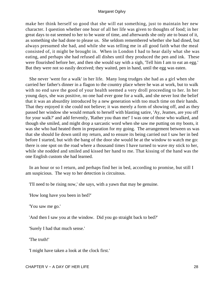make her think herself so good that she will eat something, just to maintain her new character. I question whether one hour of all her life was given to thoughts of food; in her great days to eat seemed to her to be waste of time, and afterwards she only ate to boast of it, as something she had done to please us. She seldom remembered whether she had dined, but always presumed she had, and while she was telling me in all good faith what the meal consisted of, it might be brought in. When in London I had to hear daily what she was eating, and perhaps she had refused all dishes until they produced the pen and ink. These were flourished before her, and then she would say with a sigh, 'Tell him I am to eat an egg.' But they were not so easily deceived; they waited, pen in hand, until the egg was eaten.

 She never 'went for a walk' in her life. Many long trudges she had as a girl when she carried her father's dinner in a flagon to the country place where he was at work, but to walk with no end save the good of your health seemed a very droll proceeding to her. In her young days, she was positive, no one had ever gone for a walk, and she never lost the belief that it was an absurdity introduced by a new generation with too much time on their hands. That they enjoyed it she could not believe; it was merely a form of showing off, and as they passed her window she would remark to herself with blasting satire, 'Ay, Jeames, are you off for your walk?' and add fervently, 'Rather you than me!' I was one of those who walked, and though she smiled, and might drop a sarcastic word when she saw me putting on my boots, it was she who had heated them in preparation for my going. The arrangement between us was that she should lie down until my return, and to ensure its being carried out I saw her in bed before I started, but with the bang of the door she would be at the window to watch me go: there is one spot on the road where a thousand times I have turned to wave my stick to her, while she nodded and smiled and kissed her hand to me. That kissing of the hand was the one English custom she had learned.

 In an hour or so I return, and perhaps find her in bed, according to promise, but still I am suspicious. The way to her detection is circuitous.

'I'll need to be rising now,' she says, with a yawn that may be genuine.

'How long have you been in bed?'

'You saw me go.'

'And then I saw you at the window. Did you go straight back to bed?'

'Surely I had that much sense.'

'The truth!'

'I might have taken a look at the clock first.'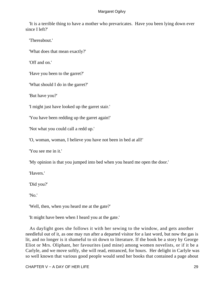'It is a terrible thing to have a mother who prevaricates. Have you been lying down ever since I left?'

'Thereabout.'

'What does that mean exactly?'

'Off and on.'

'Have you been to the garret?'

'What should I do in the garret?'

'But have you?'

'I might just have looked up the garret stair.'

'You have been redding up the garret again!'

'Not what you could call a redd up.'

'O, woman, woman, I believe you have not been in bed at all!'

'You see me in it.'

'My opinion is that you jumped into bed when you heard me open the door.'

'Havers.'

'Did you?'

'No.'

'Well, then, when you heard me at the gate?'

'It might have been when I heard you at the gate.'

 As daylight goes she follows it with her sewing to the window, and gets another needleful out of it, as one may run after a departed visitor for a last word, but now the gas is lit, and no longer is it shameful to sit down to literature. If the book be a story by George Eliot or Mrs. Oliphant, her favourites (and mine) among women novelists, or if it be a Carlyle, and we move softly, she will read, entranced, for hours. Her delight in Carlyle was so well known that various good people would send her books that contained a page about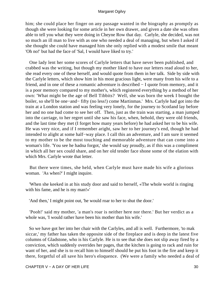him; she could place her finger on any passage wanted in the biography as promptly as though she were looking for some article in her own drawer, and given a date she was often able to tell you what they were doing in Cheyne Row that day. Carlyle, she decided, was not so much an ill man to live with as one who needed a deal of managing, but when I asked if she thought she could have managed him she only replied with a modest smile that meant 'Oh no!' but had the face of 'Sal, I would have liked to try.'

 One lady lent her some scores of Carlyle letters that have never been published, and crabbed was the writing, but though my mother liked to have our letters read aloud to her, she read every one of these herself, and would quote from them in her talk. Side by side with the Carlyle letters, which show him in his most gracious light, were many from his wife to a friend, and in one of these a romantic adventure is described − I quote from memory, and it is a poor memory compared to my mother's, which registered everything by a method of her own: 'What might be the age of Bell Tibbits? Well, she was born the week I bought the boiler, so she'll be one−and− fifty (no less!) come Martinmas.' Mrs. Carlyle had got into the train at a London station and was feeling very lonely, for the journey to Scotland lay before her and no one had come to see her off. Then, just as the train was starting, a man jumped into the carriage, to her regret until she saw his face, when, behold, they were old friends, and the last time they met (I forget how many years before) he had asked her to be his wife. He was very nice, and if I remember aright, saw her to her journey's end, though he had intended to alight at some half−way place. I call this an adventure, and I am sure it seemed to my mother to be the most touching and memorable adventure that can come into a woman's life. 'You see he hadna forgot,' she would say proudly, as if this was a compliment in which all her sex could share, and on her old tender face shone some of the elation with which Mrs. Carlyle wrote that letter.

 But there were times, she held, when Carlyle must have made his wife a glorious woman. 'As when?' I might inquire.

 'When she keeked in at his study door and said to herself, «The whole world is ringing with his fame, and he is my man!»'

'And then,' I might point out, 'he would roar to her to shut the door.'

 'Pooh!' said my mother, 'a man's roar is neither here nor there.' But her verdict as a whole was, 'I would rather have been his mother than his wife.'

 So we have got her into her chair with the Carlyles, and all is well. Furthermore, 'to mak siccar,' my father has taken the opposite side of the fireplace and is deep in the latest five columns of Gladstone, who is his Carlyle. He is to see that she does not slip away fired by a conviction, which suddenly overrides her pages, that the kitchen is going to rack and ruin for want of her, and she is to recall him to himself should he put his foot in the fire and keep it there, forgetful of all save his hero's eloquence. (We were a family who needed a deal of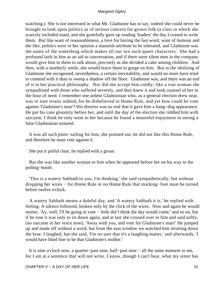watching.) She is not interested in what Mr. Gladstone has to say; indeed she could never be brought to look upon politics as of serious concern for grown folk (a class in which she scarcely included man), and she gratefully gave up reading 'leaders' the day I ceased to write them. But like want of reasonableness, a love for having the last word, want of humour and the like, politics were in her opinion a mannish attribute to be tolerated, and Gladstone was the name of the something which makes all our sex such queer characters. She had a profound faith in him as an aid to conversation, and if there were silent men in the company would give him to them to talk about, precisely as she divided a cake among children. And then, with a motherly smile, she would leave them to gorge on him. But in the idolising of Gladstone she recognised, nevertheless, a certain inevitability, and would no more have tried to contend with it than to sweep a shadow off the floor. Gladstone was, and there was an end of it in her practical philosophy. Nor did she accept him coldly; like a true woman she sympathised with those who suffered severely, and they knew it and took counsel of her in the hour of need. I remember one ardent Gladstonian who, as a general election drew near, was in sore straits indeed, for he disbelieved in Home Rule, and yet how could he vote against 'Gladstone's man'? His distress was so real that it gave him a hang−dog appearance. He put his case gloomily before her, and until the day of the election she riddled him with sarcasm; I think he only went to her because he found a mournful enjoyment in seeing a false Gladstonian tortured.

 It was all such plain−sailing for him, she pointed out; he did not like this Home Rule, and therefore he must vote against it.

She put it pitiful clear, he replied with a groan.

 But she was like another woman to him when he appeared before her on his way to the polling−booth.

 'This is a watery Sabbath to you, I'm thinking,' she said sympathetically, but without dropping her wires − for Home Rule or no Home Rule that stocking−foot must be turned before twelve o'clock.

 A watery Sabbath means a doleful day, and 'A watery Sabbath it is,' he replied with feeling. A silence followed, broken only by the click of the wires. Now and again he would mutter, 'Ay, well, I'll be going to vote − little did I think the day would come,' and so on, but if he rose it was only to sit down again, and at last she crossed over to him and said softly, (no sarcasm in her voice now), 'Away with you, and vote for Gladstone's man!' He jumped up and made off without a word, but from the east window we watched him strutting down the brae. I laughed, but she said, 'I'm no sure that it's a laughing matter,' and afterwards, 'I would have liked fine to be that Gladstone's mother.'

 It is nine o'clock now, a quarter−past nine, half−past nine − all the same moment to me, for I am at a sentence that will not write. I know, though I can't hear, what my sister has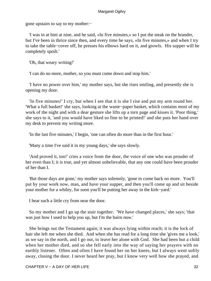gone upstairs to say to my mother:−

 'I was in at him at nine, and he said, «In five minutes,» so I put the steak on the brander, but I've been in thrice since then, and every time he says, «In five minutes,» and when I try to take the table−cover off, he presses his elbows hard on it, and growls. His supper will be completely spoilt.'

'Oh, that weary writing!'

'I can do no more, mother, so you must come down and stop him.'

 'I have no power over him,' my mother says, but she rises smiling, and presently she is opening my door.

 'In five minutes!' I cry, but when I see that it is she I rise and put my arm round her. 'What a full basket!' she says, looking at the waste−paper basket, which contains most of my work of the night and with a dear gesture she lifts up a torn page and kisses it. 'Poor thing,' she says to it, 'and you would have liked so fine to be printed!' and she puts her hand over my desk to prevent my writing more.

'In the last five minutes,' I begin, 'one can often do more than in the first hour.'

'Many a time I've said it in my young days,' she says slowly.

 'And proved it, too!' cries a voice from the door, the voice of one who was prouder of her even than I; it is true, and yet almost unbelievable, that any one could have been prouder of her than I.

 'But those days are gone,' my mother says solemnly, 'gone to come back no more. You'll put by your work now, man, and have your supper, and then you'll come up and sit beside your mother for a whiley, for soon you'll be putting her away in the kirk−yard.'

I hear such a little cry from near the door.

 So my mother and I go up the stair together. 'We have changed places,' she says; 'that was just how I used to help you up, but I'm the bairn now.'

 She brings out the Testament again; it was always lying within reach; it is the lock of hair she left me when she died. And when she has read for a long time she 'gives me a look,' as we say in the north, and I go out, to leave her alone with God. She had been but a child when her mother died, and so she fell early into the way of saying her prayers with no earthly listener. Often and often I have found her on her knees, but I always went softly away, closing the door. I never heard her pray, but I know very well how she prayed, and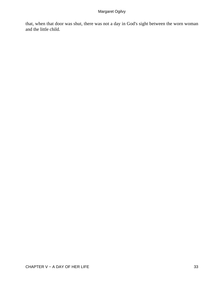that, when that door was shut, there was not a day in God's sight between the worn woman and the little child.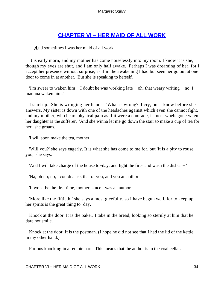### **[CHAPTER VI − HER MAID OF ALL WORK](#page-68-0)**

<span id="page-34-0"></span>*A* nd sometimes I was her maid of all work.

 It is early morn, and my mother has come noiselessly into my room. I know it is she, though my eyes are shut, and I am only half awake. Perhaps I was dreaming of her, for I accept her presence without surprise, as if in the awakening I had but seen her go out at one door to come in at another. But she is speaking to herself.

 'I'm sweer to waken him − I doubt he was working late − oh, that weary writing − no, I maunna waken him.'

 I start up. She is wringing her hands. 'What is wrong?' I cry, but I know before she answers. My sister is down with one of the headaches against which even she cannot fight, and my mother, who bears physical pain as if it were a comrade, is most woebegone when her daughter is the sufferer. 'And she winna let me go down the stair to make a cup of tea for her,' she groans.

'I will soon make the tea, mother.'

 'Will you?' she says eagerly. It is what she has come to me for, but 'It is a pity to rouse you,' she says.

'And I will take charge of the house to−day, and light the fires and wash the dishes − '

'Na, oh no; no, I couldna ask that of you, and you an author.'

'It won't be the first time, mother, since I was an author.'

 'More like the fiftieth!' she says almost gleefully, so I have begun well, for to keep up her spirits is the great thing to−day.

 Knock at the door. It is the baker. I take in the bread, looking so sternly at him that he dare not smile.

 Knock at the door. It is the postman. (I hope he did not see that I had the lid of the kettle in my other hand.)

Furious knocking in a remote part. This means that the author is in the coal cellar.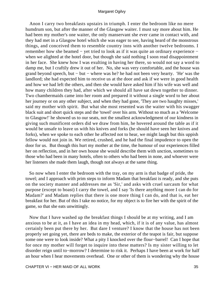Anon I carry two breakfasts upstairs in triumph. I enter the bedroom like no mere humdrum son, but after the manner of the Glasgow waiter. I must say more about him. He had been my mother's one waiter, the only manservant she ever came in contact with, and they had met in a Glasgow hotel which she was eager to see, having heard of the monstrous things, and conceived them to resemble country inns with another twelve bedrooms. I remember how she beamed − yet tried to look as if it was quite an ordinary experience − when we alighted at the hotel door, but though she said nothing I soon read disappointment in her face. She knew how I was exulting in having her there, so would not say a word to damp me, but I craftily drew it out of her. No, she was very comfortable, and the house was grand beyond speech, but − but − where was he? he had not been very hearty. 'He' was the landlord; she had expected him to receive us at the door and ask if we were in good health and how we had left the others, and then she would have asked him if his wife was well and how many children they had, after which we should all have sat down together to dinner. Two chambermaids came into her room and prepared it without a single word to her about her journey or on any other subject, and when they had gone, 'They are two haughty misses,' said my mother with spirit. But what she most resented was the waiter with his swagger black suit and short quick steps and the 'towel' over his arm. Without so much as a 'Welcome to Glasgow!' he showed us to our seats, not the smallest acknowledgment of our kindness in giving such munificent orders did we draw from him, he hovered around the table as if it would be unsafe to leave us with his knives and forks (he should have seen her knives and forks), when we spoke to each other he affected not to hear, we might laugh but this uppish fellow would not join in. We retired, crushed, and he had the final impudence to open the door for us. But though this hurt my mother at the time, the humour of our experiences filled her on reflection, and in her own house she would describe them with unction, sometimes to those who had been in many hotels, often to others who had been in none, and whoever were her listeners she made them laugh, though not always at the same thing.

 So now when I enter the bedroom with the tray, on my arm is that badge of pride, the towel; and I approach with prim steps to inform Madam that breakfast is ready, and she puts on the society manner and addresses me as 'Sir,' and asks with cruel sarcasm for what purpose (except to boast) I carry the towel, and I say 'Is there anything more I can do for Madam?' and Madam replies that there is one more thing I can do, and that is, eat her breakfast for her. But of this I take no notice, for my object is to fire her with the spirit of the game, so that she eats unwittingly.

 Now that I have washed up the breakfast things I should be at my writing, and I am anxious to be at it, as I have an idea in my head, which, if it is of any value, has almost certainly been put there by her. But dare I venture? I know that the house has not been properly set going yet, there are beds to make, the exterior of the teapot is fair, but suppose some one were to look inside? What a pity I knocked over the flour−barrel! Can I hope that for once my mother will forget to inquire into these matters? Is my sister willing to let disorder reign until to−morrow? I determine to risk it. Perhaps I have been at work for half an hour when I hear movements overhead. One or other of them is wondering why the house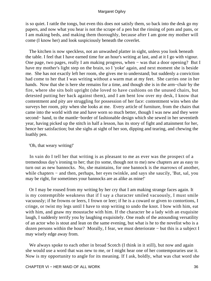is so quiet. I rattle the tongs, but even this does not satisfy them, so back into the desk go my papers, and now what you hear is not the scrape of a pen but the rinsing of pots and pans, or I am making beds, and making them thoroughly, because after I am gone my mother will come (I know her) and look suspiciously beneath the coverlet.

 The kitchen is now speckless, not an unwashed platter in sight, unless you look beneath the table. I feel that I have earned time for an hour's writing at last, and at it I go with vigour. One page, two pages, really I am making progress, when − was that a door opening? But I have my mother's light step on the brain, so I 'yoke' again, and next moment she is beside me. She has not exactly left her room, she gives me to understand; but suddenly a conviction had come to her that I was writing without a warm mat at my feet. She carries one in her hands. Now that she is here she remains for a time, and though she is in the arm−chair by the fire, where she sits bolt upright (she loved to have cushions on the unused chairs, but detested putting her back against them), and I am bent low over my desk, I know that contentment and pity are struggling for possession of her face: contentment wins when she surveys her room, pity when she looks at me. Every article of furniture, from the chairs that came into the world with me and have worn so much better, though I was new and they were second− hand, to the mantle−border of fashionable design which she sewed in her seventieth year, having picked up the stitch in half a lesson, has its story of fight and attainment for her, hence her satisfaction; but she sighs at sight of her son, dipping and tearing, and chewing the loathly pen.

#### 'Oh, that weary writing!'

 In vain do I tell her that writing is as pleasant to me as ever was the prospect of a tremendous day's ironing to her; that (to some, though not to me) new chapters are as easy to turn out as new bannocks. No, she maintains, for one bannock is the marrows of another, while chapters − and then, perhaps, her eyes twinkle, and says she saucily, 'But, sal, you may be right, for sometimes your bannocks are as alike as mine!'

 Or I may be roused from my writing by her cry that I am making strange faces again. It is my contemptible weakness that if I say a character smiled vacuously, I must smile vacuously; if he frowns or leers, I frown or leer; if he is a coward or given to contortions, I cringe, or twist my legs until I have to stop writing to undo the knot. I bow with him, eat with him, and gnaw my moustache with him. If the character be a lady with an exquisite laugh, I suddenly terrify you by laughing exquisitely. One reads of the astounding versatility of an actor who is stout and lean on the same evening, but what is he to the novelist who is a dozen persons within the hour? Morally, I fear, we must deteriorate − but this is a subject I may wisely edge away from.

We always spoke to each other in broad Scotch (I think in it still), but now and again she would use a word that was new to me, or I might hear one of her contemporaries use it. Now is my opportunity to angle for its meaning. If I ask, boldly, what was chat word she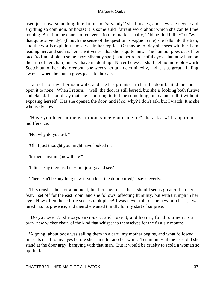used just now, something like 'bilbie' or 'silvendy'? she blushes, and says she never said anything so common, or hoots! it is some auld−farrant word about which she can tell me nothing. But if in the course of conversation I remark casually, 'Did he find bilbie?' or 'Was that quite silvendy?' (though the sense of the question is vague to me) she falls into the trap, and the words explain themselves in her replies. Or maybe to−day she sees whither I am leading her, and such is her sensitiveness that she is quite hurt. The humour goes out of her face (to find bilbie in some more silvendy spot), and her reproachful eyes − but now I am on the arm of her chair, and we have made it up. Nevertheless, I shall get no more old−world Scotch out of her this forenoon, she weeds her talk determinedly, and it is as great a falling away as when the mutch gives place to the cap.

 I am off for my afternoon walk, and she has promised to bar the door behind me and open it to none. When I return, – well, the door is still barred, but she is looking both furtive and elated. I should say that she is burning to tell me something, but cannot tell it without exposing herself. Has she opened the door, and if so, why? I don't ask, but I watch. It is she who is sly now.

 'Have you been in the east room since you came in?' she asks, with apparent indifference.

'No; why do you ask?'

'Oh, I just thought you might have looked in.'

'Is there anything new there?'

'I dinna say there is, but − but just go and see.'

'There can't be anything new if you kept the door barred,' I say cleverly.

 This crushes her for a moment; but her eagerness that I should see is greater than her fear. I set off for the east room, and she follows, affecting humility, but with triumph in her eye. How often those little scenes took place! I was never told of the new purchase, I was lured into its presence, and then she waited timidly for my start of surprise.

 'Do you see it?' she says anxiously, and I see it, and hear it, for this time it is a bran−new wicker chair, of the kind that whisper to themselves for the first six months.

 'A going−about body was selling them in a cart,' my mother begins, and what followed presents itself to my eyes before she can utter another word. Ten minutes at the least did she stand at the door argy−bargying with that man. But it would be cruelty to scold a woman so uplifted.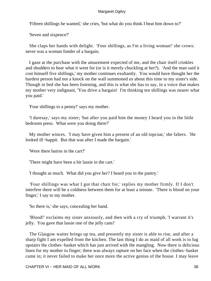'Fifteen shillings he wanted,' she cries, 'but what do you think I beat him down to?'

'Seven and sixpence?'

She claps her hands with delight. 'Four shillings, as I'm a living woman!' she crows: never was a woman fonder of a bargain.

 I gaze at the purchase with the amazement expected of me, and the chair itself crinkles and shudders to hear what it went for (or is it merely chuckling at her?). 'And the man said it cost himself five shillings,' my mother continues exultantly. You would have thought her the hardest person had not a knock on the wall summoned us about this time to my sister's side. Though in bed she has been listening, and this is what she has to say, in a voice that makes my mother very indignant, 'You drive a bargain! I'm thinking ten shillings was nearer what you paid.'

'Four shillings to a penny!' says my mother.

 'I daresay,' says my sister; 'but after you paid him the money I heard you in the little bedroom press. What were you doing there?'

 My mother winces. 'I may have given him a present of an old topcoat,' she falters. 'He looked ill−happit. But that was after I made the bargain.'

'Were there bairns in the cart?'

'There might have been a bit lassie in the cart.'

'I thought as much. What did you give her? I heard you in the pantry.'

 'Four shillings was what I got that chair for,' replies my mother firmly. If I don't interfere there will be a coldness between them for at least a minute. 'There is blood on your finger,' I say to my mother.

'So there is,' she says, concealing her hand.

 'Blood!' exclaims my sister anxiously, and then with a cry of triumph, 'I warrant it's jelly. You gave that lassie one of the jelly cans!'

 The Glasgow waiter brings up tea, and presently my sister is able to rise, and after a sharp fight I am expelled from the kitchen. The last thing I do as maid of all work is to lug upstairs the clothes−basket which has just arrived with the mangling. Now there is delicious linen for my mother to finger; there was always rapture on her face when the clothes−basket came in; it never failed to make her once more the active genius of the house. I may leave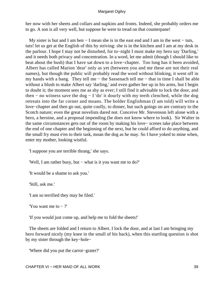her now with her sheets and collars and napkins and fronts. Indeed, she probably orders me to go. A son is all very well, but suppose he were to tread on that counterpane!

My sister is but and I am ben  $- I$  mean she is in the east end and I am in the west  $-$  tuts, tuts! let us get at the English of this by striving: she is in the kitchen and I am at my desk in the parlour. I hope I may not be disturbed, for to−night I must make my hero say 'Darling,' and it needs both privacy and concentration. In a word, let me admit (though I should like to beat about the bush) that I have sat down to a love−chapter. Too long has it been avoided, Albert has called Marion 'dear' only as yet (between you and me these are not their real names), but though the public will probably read the word without blinking, it went off in my hands with a bang. They tell me − the Sassenach tell me − that in time I shall be able without a blush to make Albert say 'darling,' and even gather her up in his arms, but I begin to doubt it; the moment sees me as shy as ever; I still find it advisable to lock the door, and then − no witness save the dog − I 'do' it dourly with my teeth clenched, while the dog retreats into the far corner and moans. The bolder Englishman (I am told) will write a love−chapter and then go out, quite coolly, to dinner, but such goings on are contrary to the Scotch nature; even the great novelists dared not. Conceive Mr. Stevenson left alone with a hero, a heroine, and a proposal impending (he does not know where to look). Sir Walter in the same circumstances gets out of the room by making his love− scenes take place between the end of one chapter and the beginning of the next, but he could afford to do anything, and the small fry must e'en to their task, moan the dog as he may. So I have yoked to mine when, enter my mother, looking wistful.

'I suppose you are terrible thrang,' she says.

'Well, I am rather busy, but − what is it you want me to do?'

'It would be a shame to ask you.'

'Still, ask me.'

'I am so terrified they may be filed.'

'You want me to − ?'

'If you would just come up, and help me to fold the sheets!'

 The sheets are folded and I return to Albert. I lock the door, and at last I am bringing my hero forward nicely (my knee in the small of his back), when this startling question is shot by my sister through the key−hole−

'Where did you put the carrot−grater?'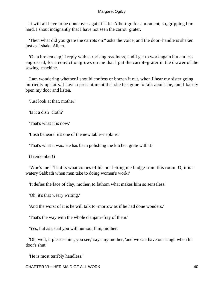It will all have to be done over again if I let Albert go for a moment, so, gripping him hard, I shout indignantly that I have not seen the carrot−grater.

 'Then what did you grate the carrots on?' asks the voice, and the door−handle is shaken just as I shake Albert.

 'On a broken cup,' I reply with surprising readiness, and I get to work again but am less engrossed, for a conviction grows on me that I put the carrot−grater in the drawer of the sewing−machine.

 I am wondering whether I should confess or brazen it out, when I hear my sister going hurriedly upstairs. I have a presentiment that she has gone to talk about me, and I basely open my door and listen.

'Just look at that, mother!'

'Is it a dish−cloth?'

'That's what it is now.'

'Losh behears! it's one of the new table−napkins.'

'That's what it was. He has been polishing the kitchen grate with it!'

(I remember!)

 'Woe's me! That is what comes of his not letting me budge from this room. O, it is a watery Sabbath when men take to doing women's work!'

'It defies the face of clay, mother, to fathom what makes him so senseless.'

'Oh, it's that weary writing.'

'And the worst of it is he will talk to−morrow as if he had done wonders.'

'That's the way with the whole clanjam−fray of them.'

'Yes, but as usual you will humour him, mother.'

 'Oh, well, it pleases him, you see,' says my mother, 'and we can have our laugh when his door's shut.'

'He is most terribly handless.'

CHAPTER VI – HER MAID OF ALL WORK 40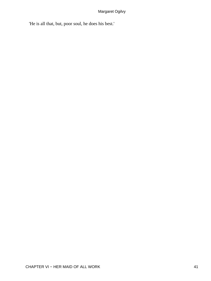'He is all that, but, poor soul, he does his best.'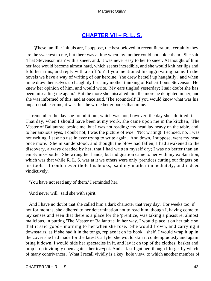### **[CHAPTER VII − R. L. S.](#page-68-0)**

<span id="page-42-0"></span>**These familiar initials are, I suppose, the best beloved in recent literature, certainly they** are the sweetest to me, but there was a time when my mother could not abide them. She said 'That Stevenson man' with a sneer, and, it was never easy to her to sneer. At thought of him her face would become almost hard, which seems incredible, and she would knit her lips and fold her arms, and reply with a stiff 'oh' if you mentioned his aggravating name. In the novels we have a way of writing of our heroine, 'she drew herself up haughtily,' and when mine draw themselves up haughtily I see my mother thinking of Robert Louis Stevenson. He knew her opinion of him, and would write, 'My ears tingled yesterday; I sair doubt she has been miscalling me again.' But the more she miscalled him the more he delighted in her, and she was informed of this, and at once said, 'The scoundrel!' If you would know what was his unpardonable crime, it was this: he wrote better books than mine.

 I remember the day she found it out, which was not, however, the day she admitted it. That day, when I should have been at my work, she came upon me in the kitchen, 'The Master of Ballantrae' beside me, but I was not reading: my head lay heavy on the table, and to her anxious eyes, I doubt not, I was the picture of woe. 'Not writing!' I echoed, no, I was not writing, I saw no use in ever trying to write again. And down, I suppose, went my head once more. She misunderstood, and thought the blow had fallen; I had awakened to the discovery, always dreaded by her, that I had written myself dry; I was no better than an empty ink−bottle. She wrung her hands, but indignation came to her with my explanation, which was that while R. L. S. was at it we others were only 'prentices cutting our fingers on his tools. 'I could never thole his books,' said my mother immediately, and indeed vindictively.

'You have not read any of them,' I reminded her.

'And never will,' said she with spirit.

 And I have no doubt that she called him a dark character that very day. For weeks too, if not for months, she adhered to her determination not to read him, though I, having come to my senses and seen that there is a place for the 'prentice, was taking a pleasure, almost malicious, in putting 'The Master of Ballantrae' in her way. I would place it on her table so that it said good− morning to her when she rose. She would frown, and carrying it downstairs, as if she had it in the tongs, replace it on its book− shelf. I would wrap it up in the cover she had made for the latest Carlyle: she would skin it contemptuously and again bring it down. I would hide her spectacles in it, and lay it on top of the clothes−basket and prop it up invitingly open against her tea−pot. And at last I got her, though I forget by which of many contrivances. What I recall vividly is a key−hole view, to which another member of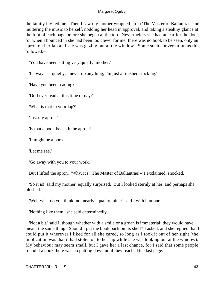the family invited me. Then I saw my mother wrapped up in 'The Master of Ballantrae' and muttering the music to herself, nodding her head in approval, and taking a stealthy glance at the foot of each page before she began at the top. Nevertheless she had an ear for the door, for when I bounced in she had been too clever for me; there was no book to be seen, only an apron on her lap and she was gazing out at the window. Some such conversation as this followed:−

'You have been sitting very quietly, mother.'

'I always sit quietly, I never do anything, I'm just a finished stocking.'

'Have you been reading?'

'Do I ever read at this time of day?'

'What is that in your lap?'

'Just my apron.'

'Is that a book beneath the apron?'

'It might be a book.'

'Let me see.'

'Go away with you to your work.'

But I lifted the apron. 'Why, it's «The Master of Ballantrae!»' I exclaimed, shocked.

 'So it is!' said my mother, equally surprised. But I looked sternly at her, and perhaps she blushed.

'Well what do you think: not nearly equal to mine?' said I with humour.

'Nothing like them,' she said determinedly.

 'Not a bit,' said I, though whether with a smile or a groan is immaterial; they would have meant the same thing. Should I put the book back on its shelf? I asked, and she replied that I could put it wherever I liked for all she cared, so long as I took it out of her sight (the implication was that it had stolen on to her lap while she was looking out at the window). My behaviour may seem small, but I gave her a last chance, for I said that some people found it a book there was no putting down until they reached the last page.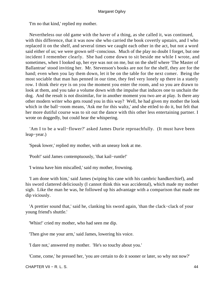'I'm no that kind,' replied my mother.

 Nevertheless our old game with the haver of a thing, as she called it, was continued, with this difference, that it was now she who carried the book covertly upstairs, and I who replaced it on the shelf, and several times we caught each other in the act, but not a word said either of us; we were grown self−conscious. Much of the play no doubt I forget, but one incident I remember clearly. She had come down to sit beside me while I wrote, and sometimes, when I looked up, her eye was not on me, but on the shelf where 'The Master of Ballantrae' stood inviting her. Mr. Stevenson's books are not for the shelf, they are for the hand; even when you lay them down, let it be on the table for the next comer. Being the most sociable that man has penned in our time, they feel very lonely up there in a stately row. I think their eye is on you the moment you enter the room, and so you are drawn to look at them, and you take a volume down with the impulse that induces one to unchain the dog. And the result is not dissimilar, for in another moment you two are at play. Is there any other modern writer who gets round you in this way? Well, he had given my mother the look which in the ball−room means, 'Ask me for this waltz,' and she ettled to do it, but felt that her more dutiful course was to sit out the dance with this other less entertaining partner. I wrote on doggedly, but could hear the whispering.

 'Am I to be a wall−flower?' asked James Durie reproachfully. (It must have been leap−year.)

'Speak lower,' replied my mother, with an uneasy look at me.

'Pooh!' said James contemptuously, 'that kail−runtle!'

'I winna have him miscalled,' said my mother, frowning.

 'I am done with him,' said James (wiping his cane with his cambric handkerchief), and his sword clattered deliciously (I cannot think this was accidental), which made my mother sigh. Like the man he was, he followed up his advantage with a comparison that made me dip viciously.

 'A prettier sound that,' said he, clanking his sword again, 'than the clack−clack of your young friend's shuttle.'

'Whist!' cried my mother, who had seen me dip.

'Then give me your arm,' said James, lowering his voice.

'I dare not,' answered my mother. 'He's so touchy about you.'

'Come, come,' he pressed her, 'you are certain to do it sooner or later, so why not now?'

CHAPTER VII − R. L. S. 44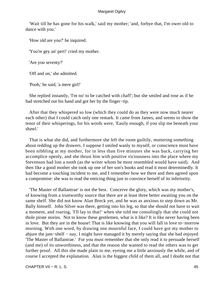'Wait till he has gone for his walk,' said my mother; 'and, forbye that, I'm ower old to dance with you.'

'How old are you?' he inquired.

'You're gey an' pert!' cried my mother.

'Are you seventy?'

'Off and on,' she admitted.

'Pooh,' he said, 'a mere girl!'

 She replied instantly, 'I'm no' to be catched with chaff'; but she smiled and rose as if he had stretched out his hand and got her by the finger−tip.

 After that they whispered so low (which they could do as they were now much nearer each other) that I could catch only one remark. It came from James, and seems to show the tenor of their whisperings, for his words were, 'Easily enough, if you slip me beneath your shawl.'

 That is what she did, and furthermore she left the room guiltily, muttering something about redding up the drawers. I suppose I smiled wanly to myself, or conscience must have been nibbling at my mother, for in less than five minutes she was back, carrying her accomplice openly, and she thrust him with positive viciousness into the place where my Stevenson had lost a tooth (as the writer whom he most resembled would have said). And then like a good mother she took up one of her son's books and read it most determinedly. It had become a touching incident to me, and I remember how we there and then agreed upon a compromise: she was to read the enticing thing just to convince herself of its inferiority.

 'The Master of Ballantrae' is not the best. Conceive the glory, which was my mother's, of knowing from a trustworthy source that there are at least three better awaiting you on the same shelf. She did not know Alan Breck yet, and he was as anxious to step down as Mr. Bally himself. John Silver was there, getting into his leg, so that she should not have to wait a moment, and roaring, 'I'll lay to that!' when she told me consolingly that she could not thole pirate stories. Not to know these gentlemen, what is it like? It is like never having been in love. But they are in the house! That is like knowing that you will fall in love to−morrow morning. With one word, by drawing one mournful face, I could have got my mother to abjure the jam−shelf − nay, I might have managed it by merely saying that she had enjoyed 'The Master of Ballantrae.' For you must remember that she only read it to persuade herself (and me) of its unworthiness, and that the reason she wanted to read the others was to get further proof. All this she made plain to me, eyeing me a little anxiously the while, and of course I accepted the explanation. Alan is the biggest child of them all, and I doubt not that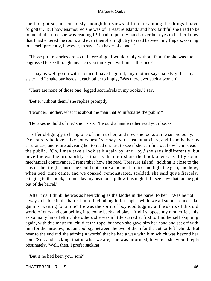she thought so, but curiously enough her views of him are among the things I have forgotten. But how enamoured she was of 'Treasure Island,' and how faithful she tried to be to me all the time she was reading it! I had to put my hands over her eyes to let her know that I had entered the room, and even then she might try to read between my fingers, coming to herself presently, however, to say 'It's a haver of a book.'

 'Those pirate stories are so uninteresting,' I would reply without fear, for she was too engrossed to see through me. 'Do you think you will finish this one?'

 'I may as well go on with it since I have begun it,' my mother says, so slyly that my sister and I shake our heads at each other to imply, 'Was there ever such a woman!'

'There are none of those one−legged scoundrels in my books,' I say.

'Better without them,' she replies promptly.

'I wonder, mother, what it is about the man that so infatuates the public?'

'He takes no hold of me,' she insists. 'I would a hantle rather read your books.'

 I offer obligingly to bring one of them to her, and now she looks at me suspiciously. 'You surely believe I like yours best,' she says with instant anxiety, and I soothe her by assurances, and retire advising her to read on, just to see if she can find out how he misleads the public. 'Oh, I may take a look at it again by−and− by,' she says indifferently, but nevertheless the probability is that as the door shuts the book opens, as if by some mechanical contrivance. I remember how she read 'Treasure Island,' holding it close to the ribs of the fire (because she could not spare a moment to rise and light the gas), and how, when bed−time came, and we coaxed, remonstrated, scolded, she said quite fiercely, clinging to the book, 'I dinna lay my head on a pillow this night till I see how that laddie got out of the barrel.'

 After this, I think, he was as bewitching as the laddie in the barrel to her − Was he not always a laddie in the barrel himself, climbing in for apples while we all stood around, like gamins, waiting for a bite? He was the spirit of boyhood tugging at the skirts of this old world of ours and compelling it to come back and play. And I suppose my mother felt this, as so many have felt it: like others she was a little scared at first to find herself skipping again, with this masterful child at the rope, but soon she gave him her hand and set off with him for the meadow, not an apology between the two of them for the author left behind. But near to the end did she admit (in words) that he had a way with him which was beyond her son. 'Silk and sacking, that is what we are,' she was informed, to which she would reply obstinately, 'Well, then, I prefer sacking.'

'But if he had been your son?'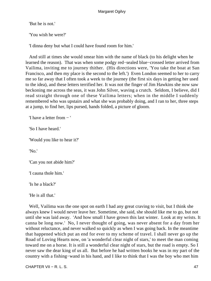'But he is not.'

'You wish he were?'

'I dinna deny but what I could have found room for him.'

 And still at times she would smear him with the name of black (to his delight when he learned the reason). That was when some podgy red−sealed blue−crossed letter arrived from Vailima, inviting me to journey thither. (His directions were, 'You take the boat at San Francisco, and then my place is the second to the left.') Even London seemed to her to carry me so far away that I often took a week to the journey (the first six days in getting her used to the idea), and these letters terrified her. It was not the finger of Jim Hawkins she now saw beckoning me across the seas, it was John Silver, waving a crutch. Seldom, I believe, did I read straight through one of these Vailima letters; when in the middle I suddenly remembered who was upstairs and what she was probably doing, and I ran to her, three steps at a jump, to find her, lips pursed, hands folded, a picture of gloom.

'I have a letter from − '

'So I have heard.'

'Would you like to hear it?'

'No.'

'Can you not abide him?'

'I cauna thole him.'

'Is he a black?'

'He is all that.'

 Well, Vailima was the one spot on earth I had any great craving to visit, but I think she always knew I would never leave her. Sometime, she said, she should like me to go, but not until she was laid away. 'And how small I have grown this last winter. Look at my wrists. It canna be long now.' No, I never thought of going, was never absent for a day from her without reluctance, and never walked so quickly as when I was going back. In the meantime that happened which put an end for ever to my scheme of travel. I shall never go up the Road of Loving Hearts now, on 'a wonderful clear night of stars,' to meet the man coming toward me on a horse. It is still a wonderful clear night of stars, but the road is empty. So I never saw the dear king of us all. But before he had written books he was in my part of the country with a fishing−wand in his hand, and I like to think that I was the boy who met him

CHAPTER VII − R. L. S. 47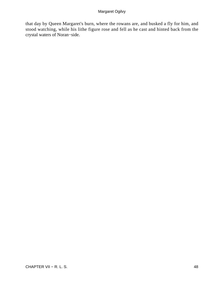that day by Queen Margaret's burn, where the rowans are, and busked a fly for him, and stood watching, while his lithe figure rose and fell as he cast and hinted back from the crystal waters of Noran−side.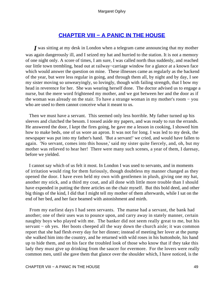### **[CHAPTER VIII − A PANIC IN THE HOUSE](#page-68-0)**

<span id="page-49-0"></span>*I* was sitting at my desk in London when a telegram came announcing that my mother was again dangerously ill, and I seized my hat and hurried to the station. It is not a memory of one night only. A score of times, I am sure, I was called north thus suddenly, and reached our little town trembling, head out at railway−carriage window for a glance at a known face which would answer the question on mine. These illnesses came as regularly as the backend of the year, but were less regular in going, and through them all, by night and by day, I see my sister moving so unwearyingly, so lovingly, though with failing strength, that I bow my head in reverence for her. She was wearing herself done. The doctor advised us to engage a nurse, but the mere word frightened my mother, and we got between her and the door as if the woman was already on the stair. To have a strange woman in my mother's room − you who are used to them cannot conceive what it meant to us.

 Then we must have a servant. This seemed only less horrible. My father turned up his sleeves and clutched the besom. I tossed aside my papers, and was ready to run the errands. He answered the door, I kept the fires going, he gave me a lesson in cooking, I showed him how to make beds, one of us wore an apron. It was not for long. I was led to my desk, the newspaper was put into my father's hand. 'But a servant!' we cried, and would have fallen to again. 'No servant, comes into this house,' said my sister quite fiercely, and, oh, but my mother was relieved to hear her! There were many such scenes, a year of them, I daresay, before we yielded.

 I cannot say which of us felt it most. In London I was used to servants, and in moments of irritation would ring for them furiously, though doubtless my manner changed as they opened the door. I have even held my own with gentlemen in plush, giving one my hat, another my stick, and a third my coat, and all done with little more trouble than I should have expended in putting the three articles on the chair myself. But this bold deed, and other big things of the kind, I did that I might tell my mother of them afterwards, while I sat on the end of her bed, and her face beamed with astonishment and mirth.

 From my earliest days I had seen servants. The manse had a servant, the bank had another; one of their uses was to pounce upon, and carry away in stately manner, certain naughty boys who played with me. The banker did not seem really great to me, but his servant – oh yes. Her boots cheeped all the way down the church aisle; it was common report that she had flesh every day for her dinner; instead of meeting her lover at the pump she walked him into the country, and he returned with wild roses in his buttonhole, his hand up to hide them, and on his face the troubled look of those who know that if they take this lady they must give up drinking from the saucer for evermore. For the lovers were really common men, until she gave them that glance over the shoulder which, I have noticed, is the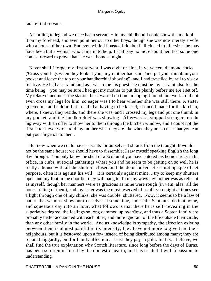fatal gift of servants.

 According to legend we once had a servant − in my childhood I could show the mark of it on my forehead, and even point her out to other boys, though she was now merely a wife with a house of her own. But even while I boasted I doubted. Reduced to life−size she may have been but a woman who came in to help. I shall say no more about her, lest some one comes forward to prove that she went home at night.

 Never shall I forget my first servant. I was eight or nine, in velveteen, diamond socks ('Cross your legs when they look at you,' my mother had said, 'and put your thumb in your pocket and leave the top of your handkerchief showing'), and I had travelled by rail to visit a relative. He had a servant, and as I was to be his guest she must be my servant also for the time being − you may be sure I had got my mother to put this plainly before me ere I set off. My relative met me at the station, but I wasted no time in hoping I found him well. I did not even cross my legs for him, so eager was I to hear whether she was still there. A sister greeted me at the door, but I chafed at having to be kissed; at once I made for the kitchen, where, I knew, they reside, and there she was, and I crossed my legs and put one thumb in my pocket, and the handkerchief was showing. Afterwards I stopped strangers on the highway with an offer to show her to them through the kitchen window, and I doubt not the first letter I ever wrote told my mother what they are like when they are so near that you can put your fingers into them.

 But now when we could have servants for ourselves I shrank from the thought. It would not be the same house; we should have to dissemble; I saw myself speaking English the long day through. You only know the shell of a Scot until you have entered his home circle; in his office, in clubs, at social gatherings where you and he seem to be getting on so well he is really a house with all the shutters closed and the door locked. He is not opaque of set purpose, often it is against his will − it is certainly against mine, I try to keep my shutters open and my foot in the door but they will bang to. In many ways my mother was as reticent as myself, though her manners were as gracious as mine were rough (in vain, alas! all the honest oiling of them), and my sister was the most reserved of us all; you might at times see a light through one of my chinks: she was double−shuttered. Now, it seems to be a law of nature that we must show our true selves at some time, and as the Scot must do it at home, and squeeze a day into an hour, what follows is that there he is self−revealing in the superlative degree, the feelings so long dammed up overflow, and thus a Scotch family are probably better acquainted with each other, and more ignorant of the life outside their circle, than any other family in the world. And as knowledge is sympathy, the affection existing between them is almost painful in its intensity; they have not more to give than their neighbours, but it is bestowed upon a few instead of being distributed among many; they are reputed niggardly, but for family affection at least they pay in gold. In this, I believe, we shall find the true explanation why Scotch literature, since long before the days of Burns, has been so often inspired by the domestic hearth, and has treated it with a passionate understanding.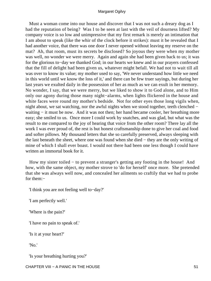Must a woman come into our house and discover that I was not such a dreary dog as I had the reputation of being? Was I to be seen at last with the veil of dourness lifted? My company voice is so low and unimpressive that my first remark is merely an intimation that I am about to speak (like the whir of the clock before it strikes): must it be revealed that I had another voice, that there was one door I never opened without leaving my reserve on the mat? Ah, that room, must its secrets be disclosed? So joyous they were when my mother was well, no wonder we were merry. Again and again she had been given back to us; it was for the glorious to−day we thanked God; in our hearts we knew and in our prayers confessed that the fill of delight had been given us, whatever might befall. We had not to wait till all was over to know its value; my mother used to say, 'We never understand how little we need in this world until we know the loss of it,' and there can be few truer sayings, but during her last years we exulted daily in the possession of her as much as we can exult in her memory. No wonder, I say, that we were merry, but we liked to show it to God alone, and to Him only our agony during those many night−alarms, when lights flickered in the house and white faces were round my mother's bedside. Not for other eyes those long vigils when, night about, we sat watching, nor the awful nights when we stood together, teeth clenched − waiting − it must be now. And it was not then; her hand became cooler, her breathing more easy; she smiled to us. Once more I could work by snatches, and was glad, but what was the result to me compared to the joy of hearing that voice from the other room? There lay all the work I was ever proud of, the rest is but honest craftsmanship done to give her coal and food and softer pillows. My thousand letters that she so carefully preserved, always sleeping with the last beneath the sheet, where one was found when she died − they are the only writing of mine of which I shall ever boast. I would not there had been one less though I could have written an immortal book for it.

How my sister toiled – to prevent a stranger's getting any footing in the house! And how, with the same object, my mother strove to 'do for herself' once more. She pretended that she was always well now, and concealed her ailments so craftily that we had to probe for them:−

'I think you are not feeling well to−day?'

'I am perfectly well.'

'Where is the pain?'

'I have no pain to speak of.'

'Is it at your heart?'

'No.'

'Is your breathing hurting you?'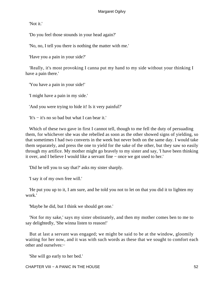'Not it.'

'Do you feel those stounds in your head again?'

'No, no, I tell you there is nothing the matter with me.'

'Have you a pain in your side?'

 'Really, it's most provoking I canna put my hand to my side without your thinking I have a pain there.'

'You have a pain in your side!'

'I might have a pain in my side.'

'And you were trying to hide it! Is it very painful?'

'It's − it's no so bad but what I can bear it.'

Which of these two gave in first I cannot tell, though to me fell the duty of persuading them, for whichever she was she rebelled as soon as the other showed signs of yielding, so that sometimes I had two converts in the week but never both on the same day. I would take them separately, and press the one to yield for the sake of the other, but they saw so easily through my artifice. My mother might go bravely to my sister and say, 'I have been thinking it over, and I believe I would like a servant fine − once we got used to her.'

'Did he tell you to say that?' asks my sister sharply.

'I say it of my own free will.'

 'He put you up to it, I am sure, and he told you not to let on that you did it to lighten my work.'

'Maybe he did, but I think we should get one.'

 'Not for my sake,' says my sister obstinately, and then my mother comes ben to me to say delightedly, 'She winna listen to reason!'

 But at last a servant was engaged; we might be said to be at the window, gloomily waiting for her now, and it was with such words as these that we sought to comfort each other and ourselves:−

'She will go early to her bed.'

CHAPTER VIII − A PANIC IN THE HOUSE 52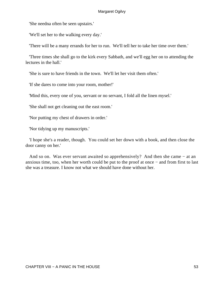'She needna often be seen upstairs.'

'We'll set her to the walking every day.'

'There will be a many errands for her to run. We'll tell her to take her time over them.'

 'Three times she shall go to the kirk every Sabbath, and we'll egg her on to attending the lectures in the hall.'

'She is sure to have friends in the town. We'll let her visit them often.'

'If she dares to come into your room, mother!'

'Mind this, every one of you, servant or no servant, I fold all the linen mysel.'

'She shall not get cleaning out the east room.'

'Nor putting my chest of drawers in order.'

'Nor tidying up my manuscripts.'

 'I hope she's a reader, though. You could set her down with a book, and then close the door canny on her.'

 And so on. Was ever servant awaited so apprehensively? And then she came − at an anxious time, too, when her worth could be put to the proof at once − and from first to last she was a treasure. I know not what we should have done without her.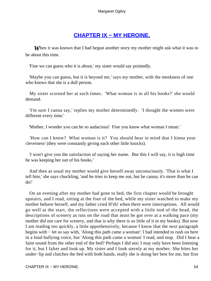### **[CHAPTER IX − MY HEROINE.](#page-68-0)**

<span id="page-54-0"></span>**When** it was known that I had begun another story my mother might ask what it was to be about this time.

'Fine we can guess who it is about,' my sister would say pointedly.

 'Maybe you can guess, but it is beyond me,' says my mother, with the meekness of one who knows that she is a dull person.

 My sister scorned her at such times. 'What woman is in all his books?' she would demand.

 'I'm sure I canna say,' replies my mother determinedly. 'I thought the women were different every time.'

'Mother, I wonder you can be so audacious! Fine you know what woman I mean.'

 'How can I know? What woman is it? You should bear in mind that I hinna your cleverness' (they were constantly giving each other little knocks).

 'I won't give you the satisfaction of saying her name. But this I will say, it is high time he was keeping her out of his books.'

 And then as usual my mother would give herself away unconsciously. 'That is what I tell him,' she says chuckling, 'and he tries to keep me out, but he canna; it's more than he can do!'

 On an evening after my mother had gone to bed, the first chapter would be brought upstairs, and I read, sitting at the foot of the bed, while my sister watched to make my mother behave herself, and my father cried H'sh! when there were interruptions. All would go well at the start, the reflections were accepted with a little nod of the head, the descriptions of scenery as ruts on the road that must be got over at a walking pace (my mother did not care for scenery, and that is why there is so little of it in my books). But now I am reading too quickly, a little apprehensively, because I know that the next paragraph begins with − let us say with, 'Along this path came a woman': I had intended to rush on here in a loud bullying voice, but 'Along this path came a woman' I read, and stop. Did I hear a faint sound from the other end of the bed? Perhaps I did not; I may only have been listening for it, but I falter and look up. My sister and I look sternly at my mother. She bites her under−lip and clutches the bed with both hands, really she is doing her best for me, but first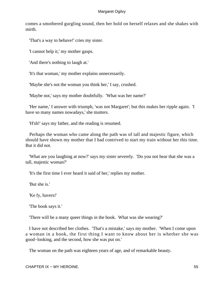comes a smothered gurgling sound, then her hold on herself relaxes and she shakes with mirth.

'That's a way to behave!' cries my sister.

'I cannot help it,' my mother gasps.

'And there's nothing to laugh at.'

'It's that woman,' my mother explains unnecessarily.

'Maybe she's not the woman you think her,' I say, crushed.

'Maybe not,' says my mother doubtfully. 'What was her name?'

 'Her name,' I answer with triumph, 'was not Margaret'; but this makes her ripple again. 'I have so many names nowadays,' she mutters.

'H'sh!' says my father, and the reading is resumed.

 Perhaps the woman who came along the path was of tall and majestic figure, which should have shown my mother that I had contrived to start my train without her this time. But it did not.

 'What are you laughing at now?' says my sister severely. 'Do you not hear that she was a tall, majestic woman?'

'It's the first time I ever heard it said of her,' replies my mother.

'But she is.'

'Ke fy, havers!'

'The book says it.'

'There will be a many queer things in the book. What was she wearing?'

 I have not described her clothes. 'That's a mistake,' says my mother. 'When I come upon a woman in a book, the first thing I want to know about her is whether she was good−looking, and the second, how she was put on.'

The woman on the path was eighteen years of age, and of remarkable beauty.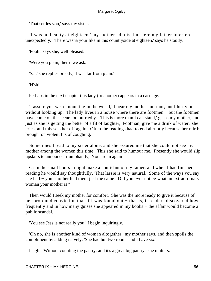'That settles you,' says my sister.

 'I was no beauty at eighteen,' my mother admits, but here my father interferes unexpectedly. 'There wasna your like in this countryside at eighteen,' says he stoutly.

'Pooh!' says she, well pleased.

'Were you plain, then?' we ask.

'Sal,' she replies briskly, 'I was far from plain.'

'H'sh!'

Perhaps in the next chapter this lady (or another) appears in a carriage.

 'I assure you we're mounting in the world,' I hear my mother murmur, but I hurry on without looking up. The lady lives in a house where there are footmen − but the footmen have come on the scene too hurriedly. 'This is more than I can stand,' gasps my mother, and just as she is getting the better of a fit of laughter, 'Footman, give me a drink of water,' she cries, and this sets her off again. Often the readings had to end abruptly because her mirth brought on violent fits of coughing.

 Sometimes I read to my sister alone, and she assured me that she could not see my mother among the women this time. This she said to humour me. Presently she would slip upstairs to announce triumphantly, 'You are in again!'

 Or in the small hours I might make a confidant of my father, and when I had finished reading he would say thoughtfully, 'That lassie is very natural. Some of the ways you say she had − your mother had them just the same. Did you ever notice what an extraordinary woman your mother is?'

 Then would I seek my mother for comfort. She was the more ready to give it because of her profound conviction that if I was found out – that is, if readers discovered how frequently and in how many guises she appeared in my books − the affair would become a public scandal.

'You see Jess is not really you,' I begin inquiringly.

 'Oh no, she is another kind of woman altogether,' my mother says, and then spoils the compliment by adding naively, 'She had but two rooms and I have six.'

I sigh. 'Without counting the pantry, and it's a great big pantry,' she mutters.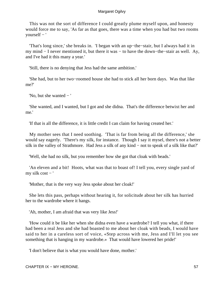This was not the sort of difference I could greatly plume myself upon, and honesty would force me to say, 'As far as that goes, there was a time when you had but two rooms yourself − '

 'That's long since,' she breaks in. 'I began with an up−the−stair, but I always had it in my mind − I never mentioned it, but there it was − to have the down−the−stair as well. Ay, and I've had it this many a year.'

'Still, there is no denying that Jess had the same ambition.'

 'She had, but to her two−roomed house she had to stick all her born days. Was that like me?'

'No, but she wanted − '

 'She wanted, and I wanted, but I got and she didna. That's the difference betwixt her and me.'

'If that is all the difference, it is little credit I can claim for having created her.'

 My mother sees that I need soothing. 'That is far from being all the difference,' she would say eagerly. 'There's my silk, for instance. Though I say it mysel, there's not a better silk in the valley of Strathmore. Had Jess a silk of any kind − not to speak of a silk like that?'

'Well, she had no silk, but you remember how she got that cloak with beads.'

 'An eleven and a bit! Hoots, what was that to boast of! I tell you, every single yard of my silk cost − '

'Mother, that is the very way Jess spoke about her cloak!'

 She lets this pass, perhaps without hearing it, for solicitude about her silk has hurried her to the wardrobe where it hangs.

'Ah, mother, I am afraid that was very like Jess!'

 'How could it be like her when she didna even have a wardrobe? I tell you what, if there had been a real Jess and she had boasted to me about her cloak with beads, I would have said to her in a careless sort of voice, «Step across with me, Jess and I'll let you see something that is hanging in my wardrobe.» That would have lowered her pride!'

'I don't believe that is what you would have done, mother.'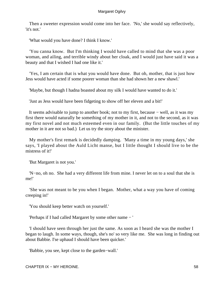Then a sweeter expression would come into her face. 'No,' she would say reflectively, 'it's not.'

'What would you have done? I think I know.'

 'You canna know. But I'm thinking I would have called to mind that she was a poor woman, and ailing, and terrible windy about her cloak, and I would just have said it was a beauty and that I wished I had one like it.'

 'Yes, I am certain that is what you would have done. But oh, mother, that is just how Jess would have acted if some poorer woman than she had shown her a new shawl.'

'Maybe, but though I hadna boasted about my silk I would have wanted to do it.'

'Just as Jess would have been fidgeting to show off her eleven and a bit!'

 It seems advisable to jump to another book; not to my first, because − well, as it was my first there would naturally be something of my mother in it, and not to the second, as it was my first novel and not much esteemed even in our family. (But the little touches of my mother in it are not so bad.) Let us try the story about the minister.

 My mother's first remark is decidedly damping. 'Many a time in my young days,' she says, 'I played about the Auld Licht manse, but I little thought I should live to be the mistress of it!'

'But Margaret is not you.'

 'N−no, oh no. She had a very different life from mine. I never let on to a soul that she is me!'

 'She was not meant to be you when I began. Mother, what a way you have of coming creeping in!'

'You should keep better watch on yourself.'

'Perhaps if I had called Margaret by some other name − '

 'I should have seen through her just the same. As soon as I heard she was the mother I began to laugh. In some ways, though, she's no' so very like me. She was long in finding out about Babbie. I'se uphaud I should have been quicker.'

'Babbie, you see, kept close to the garden−wall.'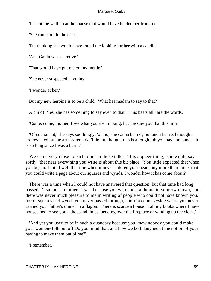'It's not the wall up at the manse that would have hidden her from me.'

'She came out in the dark.'

'I'm thinking she would have found me looking for her with a candle.'

'And Gavin was secretive.'

'That would have put me on my mettle.'

'She never suspected anything.'

'I wonder at her.'

But my new heroine is to be a child. What has madam to say to that?

A child! Yes, she has something to say even to that. 'This beats all!' are the words.

'Come, come, mother, I see what you are thinking, but I assure you that this time − '

 'Of course not,' she says soothingly, 'oh no, she canna be me'; but anon her real thoughts are revealed by the artless remark, 'I doubt, though, this is a tough job you have on hand − it is so long since I was a bairn.'

We came very close to each other in those talks. 'It is a queer thing,' she would say softly, 'that near everything you write is about this bit place. You little expected that when you began. I mind well the time when it never entered your head, any more than mine, that you could write a page about our squares and wynds. I wonder how it has come about?'

 There was a time when I could not have answered that question, but that time had long passed. 'I suppose, mother, it was because you were most at home in your own town, and there was never much pleasure to me in writing of people who could not have known you, nor of squares and wynds you never passed through, nor of a country−side where you never carried your father's dinner in a flagon. There is scarce a house in all my books where I have not seemed to see you a thousand times, bending over the fireplace or winding up the clock.'

 'And yet you used to be in such a quandary because you knew nobody you could make your women−folk out of! Do you mind that, and how we both laughed at the notion of your having to make them out of me?'

'I remember.'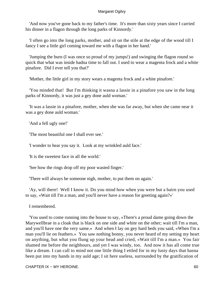'And now you've gone back to my father's time. It's more than sixty years since I carried his dinner in a flagon through the long parks of Kinnordy.'

 'I often go into the long parks, mother, and sit on the stile at the edge of the wood till I fancy I see a little girl coming toward me with a flagon in her hand.'

 'Jumping the burn (I was once so proud of my jumps!) and swinging the flagon round so quick that what was inside hadna time to fall out. I used to wear a magenta frock and a white pinafore. Did I ever tell you that?'

'Mother, the little girl in my story wears a magenta frock and a white pinafore.'

 'You minded that! But I'm thinking it wasna a lassie in a pinafore you saw in the long parks of Kinnordy, it was just a gey done auld woman.'

 'It was a lassie in a pinafore, mother, when she was far away, but when she came near it was a gey done auld woman.'

'And a fell ugly one!'

'The most beautiful one I shall ever see.'

'I wonder to hear you say it. Look at my wrinkled auld face.'

'It is the sweetest face in all the world.'

'See how the rings drop off my poor wasted finger.'

'There will always be someone nigh, mother, to put them on again.'

 'Ay, will there! Well I know it. Do you mind how when you were but a bairn you used to say, «Wait till I'm a man, and you'll never have a reason for greeting again?»'

I remembered.

 'You used to come running into the house to say, «There's a proud dame going down the Marywellbrae in a cloak that is black on one side and white on the other; wait till I'm a man, and you'll have one the very same.» And when I lay on gey hard beds you said, «When I'm a man you'll lie on feathers.» You saw nothing bonny, you never heard of my setting my heart on anything, but what you flung up your head and cried, «Wait till I'm a man.» You fair shamed me before the neighbours, and yet I was windy, too. And now it has all come true like a dream. I can call to mind not one little thing I ettled for in my lusty days that hasna been put into my hands in my auld age; I sit here useless, surrounded by the gratification of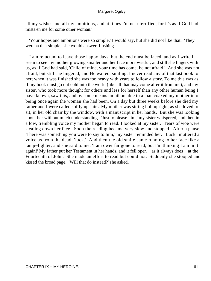all my wishes and all my ambitions, and at times I'm near terrified, for it's as if God had mista'en me for some other woman.'

 'Your hopes and ambitions were so simple,' I would say, but she did not like that. 'They werena that simple,' she would answer, flushing.

 I am reluctant to leave those happy days, but the end must be faced, and as I write I seem to see my mother growing smaller and her face more wistful, and still she lingers with us, as if God had said, 'Child of mine, your time has come, be not afraid.' And she was not afraid, but still she lingered, and He waited, smiling. I never read any of that last book to her; when it was finished she was too heavy with years to follow a story. To me this was as if my book must go out cold into the world (like all that may come after it from me), and my sister, who took more thought for others and less for herself than any other human being I have known, saw this, and by some means unfathomable to a man coaxed my mother into being once again the woman she had been. On a day but three weeks before she died my father and I were called softly upstairs. My mother was sitting bolt upright, as she loved to sit, in her old chair by the window, with a manuscript in her hands. But she was looking about her without much understanding. 'Just to please him,' my sister whispered, and then in a low, trembling voice my mother began to read. I looked at my sister. Tears of woe were stealing down her face. Soon the reading became very slow and stopped. After a pause, 'There was something you were to say to him,' my sister reminded her. 'Luck,' muttered a voice as from the dead, 'luck.' And then the old smile came running to her face like a lamp−lighter, and she said to me, 'I am ower far gone to read, but I'm thinking I am in it again!' My father put her Testament in her hands, and it fell open − as it always does − at the Fourteenth of John. She made an effort to read but could not. Suddenly she stooped and kissed the broad page. 'Will that do instead?' she asked.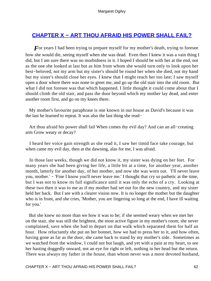### <span id="page-62-0"></span>**[CHAPTER X − ART THOU AFRAID HIS POWER SHALL FAIL?](#page-68-0)**

*F* or years I had been trying to prepare myself for my mother's death, trying to foresee how she would die, seeing myself when she was dead. Even then I knew it was a vain thing I did, but I am sure there was no morbidness in it. I hoped I should be with her at the end, not as the one she looked at last but as him from whom she would turn only to look upon her best−beloved, not my arm but my sister's should be round her when she died, not my hand but my sister's should close her eyes. I knew that I might reach her too late; I saw myself open a door where there was none to greet me, and go up the old stair into the old room. But what I did not foresee was that which happened. I little thought it could come about that I should climb the old stair, and pass the door beyond which my mother lay dead, and enter another room first, and go on my knees there.

 My mother's favourite paraphrase is one known in our house as David's because it was the last he learned to repeat. It was also the last thing she read−

 Art thou afraid his power shall fail When comes thy evil day? And can an all−creating arm Grow weary or decay?

 I heard her voice gain strength as she read it, I saw her timid face take courage, but when came my evil day, then at the dawning, alas for me, I was afraid.

 In those last weeks, though we did not know it, my sister was dying on her feet. For many years she had been giving her life, a little bit at a time, for another year, another month, latterly for another day, of her mother, and now she was worn out. 'I'll never leave you, mother.' − 'Fine I know you'll never leave me.' I thought that cry so pathetic at the time, but I was not to know its full significance until it was only the echo of a cry. Looking at these two then it was to me as if my mother had set out for the new country, and my sister held her back. But I see with a clearer vision now. It is no longer the mother but the daughter who is in front, and she cries, 'Mother, you are lingering so long at the end, I have ill waiting for you.'

 But she knew no more than we how it was to be; if she seemed weary when we met her on the stair, she was still the brightest, the most active figure in my mother's room; she never complained, save when she had to depart on that walk which separated them for half an hour. How reluctantly she put on her bonnet, how we had to press her to it, and how often, having gone as far as the door, she came back to stand by my mother's side. Sometimes as we watched from the window, I could not but laugh, and yet with a pain at my heart, to see her hasting doggedly onward, not an eye for right or left, nothing in her head but the return. There was always my father in the house, than whom never was a more devoted husband,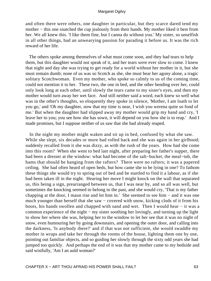and often there were others, one daughter in particular, but they scarce dared tend my mother − this one snatched the cup jealously from their hands. My mother liked it best from her. We all knew this. 'I like them fine, but I canna do without you.' My sister, so unselfish in all other things, had an unwearying passion for parading it before us. It was the rich reward of her life.

 The others spoke among themselves of what must come soon, and they had tears to help them, but this daughter would not speak of it, and her tears were ever slow to come. I knew that night and day she was trying to get ready for a world without her mother in it, but she must remain dumb; none of us was so Scotch as she, she must bear her agony alone, a tragic solitary Scotchwoman. Even my mother, who spoke so calmly to us of the coming time, could not mention it to her. These two, the one in bed, and the other bending over her, could only look long at each other, until slowly the tears came to my sister's eyes, and then my mother would turn away her wet face. And still neither said a word, each knew so well what was in the other's thoughts, so eloquently they spoke in silence, 'Mother, I am loath to let you go,' and 'Oh my daughter, now that my time is near, I wish you werena quite so fond of me.' But when the daughter had slipped away my mother would grip my hand and cry, 'I leave her to you; you see how she has sown, it will depend on you how she is to reap.' And I made promises, but I suppose neither of us saw that she had already reaped.

 In the night my mother might waken and sit up in bed, confused by what she saw. While she slept, six decades or more had rolled back and she was again in her girlhood; suddenly recalled from it she was dizzy, as with the rush of the years. How had she come into this room? When she went to bed last night, after preparing her father's supper, there had been a dresser at the window: what had become of the salt−bucket, the meal−tub, the hams that should be hanging from the rafters? There were no rafters; it was a papered ceiling. She had often heard of open beds, but how came she to be lying in one? To fathom these things she would try to spring out of bed and be startled to find it a labour, as if she had been taken ill in the night. Hearing her move I might knock on the wall that separated us, this being a sign, prearranged between us, that I was near by, and so all was well, but sometimes the knocking seemed to belong to the past, and she would cry, 'That is my father chapping at the door, I maun rise and let him in.' She seemed to see him − and it was one much younger than herself that she saw – covered with snow, kicking clods of it from his boots, his hands swollen and chapped with sand and wet. Then I would hear − it was a common experience of the night − my sister soothing her lovingly, and turning up the light to show her where she was, helping her to the window to let her see that it was no night of snow, even humouring her by going downstairs, and opening the outer door, and calling into the darkness, 'Is anybody there?' and if that was not sufficient, she would swaddle my mother in wraps and take her through the rooms of the house, lighting them one by one, pointing out familiar objects, and so guiding her slowly through the sixty odd years she had jumped too quickly. And perhaps the end of it was that my mother came to my bedside and said wistfully, 'Am I an auld woman?'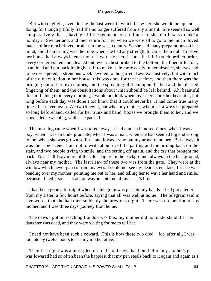But with daylight, even during the last week in which I saw her, she would be up and doing, for though pitifully frail she no longer suffered from any ailment. She seemed so well comparatively that I, having still the remnants of an illness to shake off, was to take a holiday in Switzerland, and then return for her, when we were all to go to the much−loved manse of her much−loved brother in the west country. So she had many preparations on her mind, and the morning was the time when she had any strength to carry them out. To leave her house had always been a month's work for her, it must be left in such perfect order, every corner visited and cleaned out, every chest probed to the bottom, the linen lifted out, examined and put back lovingly as if to make it lie more easily in her absence, shelves had to be re−papered, a strenuous week devoted to the garret. Less exhaustively, but with much of the old exultation in her house, this was done for the last time, and then there was the bringing out of her own clothes, and the spreading of them upon the bed and the pleased fingering of them, and the consultations about which should be left behind. Ah, beautiful dream! I clung to it every morning; I would not look when my sister shook her head at it, but long before each day was done I too knew that it could never be. It had come true many times, but never again. We two knew it, but when my mother, who must always be prepared so long beforehand, called for her trunk and band−boxes we brought them to her, and we stood silent, watching, while she packed.

 The morning came when I was to go away. It had come a hundred times, when I was a boy, when I was an undergraduate, when I was a man, when she had seemed big and strong to me, when she was grown so little and it was I who put my arms round her. But always it was the same scene. I am not to write about it, of the parting and the turning back on the stair, and two people trying to smile, and the setting off again, and the cry that brought me back. Nor shall I say more of the silent figure in the background, always in the background, always near my mother. The last I saw of these two was from the gate. They were at the window which never passes from my eyes. I could not see my dear sister's face, for she was bending over my mother, pointing me out to her, and telling her to wave her hand and smile, because I liked it so. That action was an epitome of my sister's life.

 I had been gone a fortnight when the telegram was put into my hands. I had got a letter from my sister, a few hours before, saying that all was well at home. The telegram said in five words that she had died suddenly the previous night. There was no mention of my mother, and I was three days' journey from home.

 The news I got on reaching London was this: my mother did not understand that her daughter was dead, and they were waiting for me to tell her.

 I need not have been such a coward. This is how these two died − for, after all, I was too late by twelve hours to see my mother alive.

 Their last night was almost gleeful. In the old days that hour before my mother's gas was lowered had so often been the happiest that my pen steals back to it again and again as I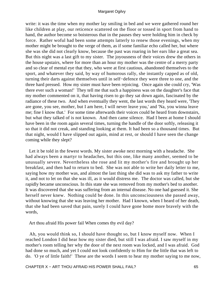write: it was the time when my mother lay smiling in bed and we were gathered round her like children at play, our reticence scattered on the floor or tossed in sport from hand to hand, the author become so boisterous that in the pauses they were holding him in check by force. Rather woful had been some attempts latterly to renew those evenings, when my mother might be brought to the verge of them, as if some familiar echo called her, but where she was she did not clearly know, because the past was roaring in her ears like a great sea. But this night was a last gift to my sister. The joyousness of their voices drew the others in the house upstairs, where for more than an hour my mother was the centre of a merry party and so clear of mental eye that they, who were at first cautious, abandoned themselves to the sport, and whatever they said, by way of humorous rally, she instantly capped as of old, turning their darts against themselves until in self−defence they were three to one, and the three hard pressed. How my sister must have been rejoicing. Once again she could cry, 'Was there ever such a woman!' They tell me that such a happiness was on the daughter's face that my mother commented on it, that having risen to go they sat down again, fascinated by the radiance of these two. And when eventually they went, the last words they heard were, 'They are gone, you see, mother, but I am here, I will never leave you,' and 'Na, you winna leave me; fine I know that.' For some time afterwards their voices could be heard from downstairs, but what they talked of is not known. And then came silence. Had I been at home I should have been in the room again several times, turning the handle of the door softly, releasing it so that it did not creak, and standing looking at them. It had been so a thousand times. But that night, would I have slipped out again, mind at rest, or should I have seen the change coming while they slept?

 Let it be told in the fewest words. My sister awoke next morning with a headache. She had always been a martyr to headaches, but this one, like many another, seemed to be unusually severe. Nevertheless she rose and lit my mother's fire and brought up her breakfast, and then had to return to bed. She was not able to write her daily letter to me, saying how my mother was, and almost the last thing she did was to ask my father to write it, and not to let on that she was ill, as it would distress me. The doctor was called, but she rapidly became unconscious. In this state she was removed from my mother's bed to another. It was discovered that she was suffering from an internal disease. No one had guessed it. She herself never knew. Nothing could be done. In this unconsciousness she passed away, without knowing that she was leaving her mother. Had I known, when I heard of her death, that she had been saved that pain, surely I could have gone home more bravely with the words,

Art thou afraid His power fail When comes thy evil day?

 Ah, you would think so, I should have thought so, but I know myself now. When I reached London I did hear how my sister died, but still I was afraid. I saw myself in my mother's room telling her why the door of the next room was locked, and I was afraid. God had done so much, and yet I could not look confidently to Him for the little that was left to do. 'O ye of little faith!' These are the words I seem to hear my mother saying to me now,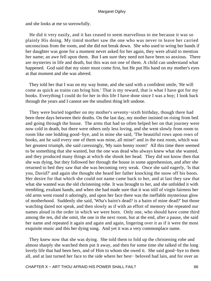and she looks at me so sorrowfully.

 He did it very easily, and it has ceased to seem marvellous to me because it was so plainly His doing. My timid mother saw the one who was never to leave her carried unconscious from the room, and she did not break down. She who used to wring her hands if her daughter was gone for a moment never asked for her again, they were afraid to mention her name; an awe fell upon them. But I am sure they need not have been so anxious. There are mysteries in life and death, but this was not one of them. A child can understand what happened. God said that my sister must come first, but He put His hand on my mother's eyes at that moment and she was altered.

 They told her that I was on my way home, and she said with a confident smile, 'He will come as quick as trains can bring him.' That is my reward, that is what I have got for my books. Everything I could do for her in this life I have done since I was a boy; I look back through the years and I cannot see the smallest thing left undone.

 They were buried together on my mother's seventy−sixth birthday, though there had been three days between their deaths. On the last day, my mother insisted on rising from bed and going through the house. The arms that had so often helped her on that journey were now cold in death, but there were others only less loving, and she went slowly from room to room like one bidding good−bye, and in mine she said, 'The beautiful rows upon rows of books, ant he said every one of them was mine, all mine!' and in the east room, which was her greatest triumph, she said caressingly, 'My nain bonny room!' All this time there seemed to be something that she wanted, but the one was dead who always knew what she wanted, and they produced many things at which she shook her head. They did not know then that she was dying, but they followed her through the house in some apprehension, and after she returned to bed they saw that she was becoming very weak. Once she said eagerly, 'Is that you, David?' and again she thought she heard her father knocking the snow off his boots. Her desire for that which she could not name came back to her, and at last they saw that what she wanted was the old christening robe. It was brought to her, and she unfolded it with trembling, exultant hands, and when she had made sure that it was still of virgin fairness her old arms went round it adoringly, and upon her face there was the ineffable mysterious glow of motherhood. Suddenly she said, 'Wha's bairn's dead? is a bairn of mine dead?' but those watching dared not speak, and then slowly as if with an effort of memory she repeated our names aloud in the order in which we were born. Only one, who should have come third among the ten, did she omit, the one in the next room, but at the end, after a pause, she said her name and repeated it again and again and again, lingering over it as if it were the most exquisite music and this her dying song. And yet it was a very commonplace name.

 They knew now that she was dying. She told them to fold up the christening robe and almost sharply she watched them put it away, and then for some time she talked of the long lovely life that had been hers, and of Him to whom she owed it. She said good−bye to them all, and at last turned her face to the side where her best− beloved had lain, and for over an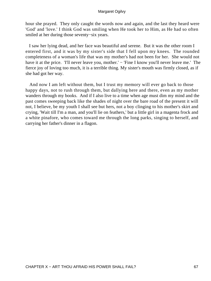hour she prayed. They only caught the words now and again, and the last they heard were 'God' and 'love.' I think God was smiling when He took her to Him, as He had so often smiled at her during those seventy−six years.

 I saw her lying dead, and her face was beautiful and serene. But it was the other room I entered first, and it was by my sister's side that I fell upon my knees. The rounded completeness of a woman's life that was my mother's had not been for her. She would not have it at the price. 'I'll never leave you, mother.' − 'Fine I know you'll never leave me.' The fierce joy of loving too much, it is a terrible thing. My sister's mouth was firmly closed, as if she had got her way.

 And now I am left without them, but I trust my memory will ever go back to those happy days, not to rush through them, but dallying here and there, even as my mother wanders through my books. And if I also live to a time when age must dim my mind and the past comes sweeping back like the shades of night over the bare road of the present it will not, I believe, be my youth I shall see but hers, not a boy clinging to his mother's skirt and crying, 'Wait till I'm a man, and you'll lie on feathers,' but a little girl in a magenta frock and a white pinafore, who comes toward me through the long parks, singing to herself, and carrying her father's dinner in a flagon.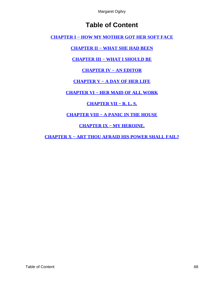## **Table of Content**

<span id="page-68-0"></span>**[CHAPTER I − HOW MY MOTHER GOT HER SOFT FACE](#page-3-0)**

**[CHAPTER II − WHAT SHE HAD BEEN](#page-8-0)**

**[CHAPTER III − WHAT I SHOULD BE](#page-14-0)**

**[CHAPTER IV − AN EDITOR](#page-19-0)**

**[CHAPTER V − A DAY OF HER LIFE](#page-26-0)**

**[CHAPTER VI − HER MAID OF ALL WORK](#page-34-0)**

**[CHAPTER VII − R. L. S.](#page-42-0)**

**[CHAPTER VIII − A PANIC IN THE HOUSE](#page-49-0)**

**[CHAPTER IX − MY HEROINE.](#page-54-0)**

**[CHAPTER X − ART THOU AFRAID HIS POWER SHALL FAIL?](#page-62-0)**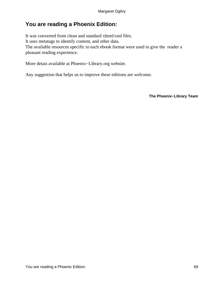### <span id="page-69-0"></span>**You are reading a Phoenix Edition:**

It was converted from clean and standard xhtml/xml files. It uses metatags to identify content, and other data. The available resources specific to each ebook format were used to give the reader a pleasant reading experience.

More detais available at Phoenix−Library.org website.

Any suggestion that helps us to improve these editions are welcome.

**The Phoenix−Library Team**